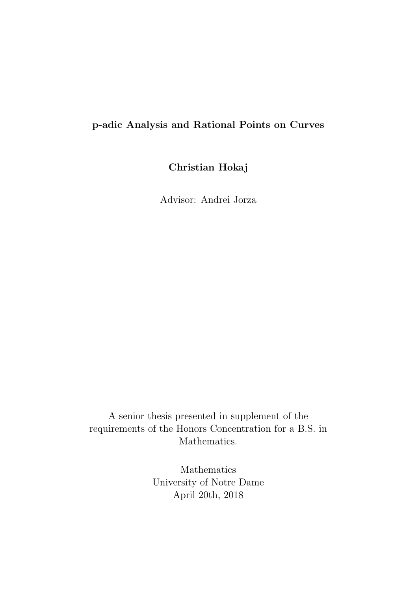# p-adic Analysis and Rational Points on Curves

Christian Hokaj

Advisor: Andrei Jorza

A senior thesis presented in supplement of the requirements of the Honors Concentration for a B.S. in Mathematics.

> Mathematics University of Notre Dame April 20th, 2018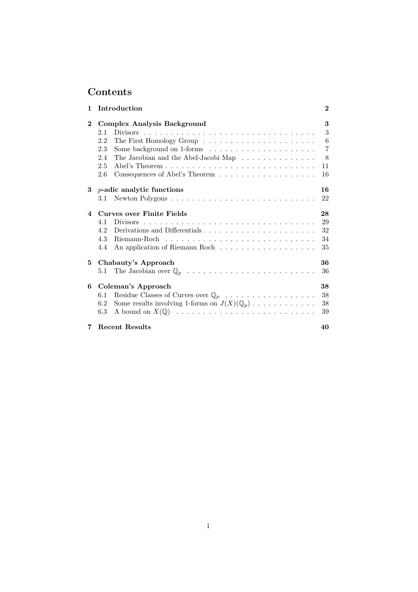# Contents

| 1              | Introduction                                                                          | $\bf{2}$ |
|----------------|---------------------------------------------------------------------------------------|----------|
| $\bf{2}$       | Complex Analysis Background                                                           | 3        |
|                | 2.1                                                                                   | 3        |
|                | 2.2                                                                                   | 6        |
|                | 2.3                                                                                   | 7        |
|                | The Jacobian and the Abel-Jacobi Map<br>2.4                                           | 8        |
|                | 2.5                                                                                   | 11       |
|                | 2.6                                                                                   | 16       |
| 3              | $p$ -adic analytic functions                                                          | 16       |
|                | 3.1                                                                                   | 22       |
| $\overline{4}$ | Curves over Finite Fields                                                             | 28       |
|                | <b>Divisors</b><br>4.1                                                                | 29       |
|                | Derivations and Differentials<br>4.2                                                  | 32       |
|                | 4.3                                                                                   | 34       |
|                | 4.4                                                                                   | 35       |
| 5              | Chabauty's Approach                                                                   | 36       |
|                | $5.1\,$                                                                               | 36       |
| 6              | <b>Coleman's Approach</b>                                                             | 38       |
|                | Residue Classes of Curves over $\mathbb{Q}_p$<br>6.1                                  | 38       |
|                | Some results involving 1-forms on $J(X)(\mathbb{Q}_p) \dots \dots \dots \dots$<br>6.2 | 38       |
|                | 6.3                                                                                   | 39       |
| $\overline{7}$ | <b>Recent Results</b>                                                                 | 40       |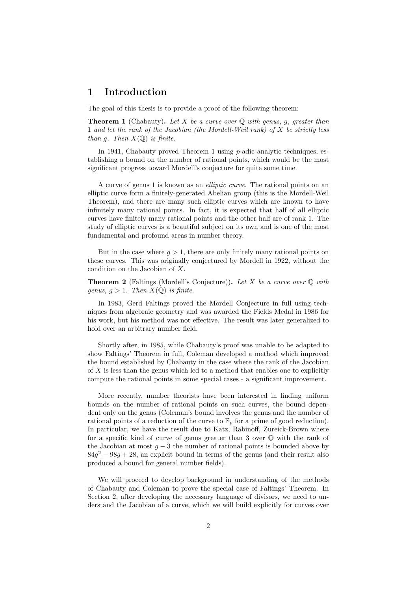# 1 Introduction

The goal of this thesis is to provide a proof of the following theorem:

**Theorem 1** (Chabauty). Let X be a curve over  $\mathbb Q$  with genus, g, greater than 1 and let the rank of the Jacobian (the Mordell-Weil rank) of X be strictly less than g. Then  $X(\mathbb{Q})$  is finite.

In 1941, Chabauty proved Theorem 1 using *p*-adic analytic techniques, establishing a bound on the number of rational points, which would be the most significant progress toward Mordell's conjecture for quite some time.

A curve of genus 1 is known as an elliptic curve. The rational points on an elliptic curve form a finitely-generated Abelian group (this is the Mordell-Weil Theorem), and there are many such elliptic curves which are known to have infinitely many rational points. In fact, it is expected that half of all elliptic curves have finitely many rational points and the other half are of rank 1. The study of elliptic curves is a beautiful subject on its own and is one of the most fundamental and profound areas in number theory.

But in the case where  $q > 1$ , there are only finitely many rational points on these curves. This was originally conjectured by Mordell in 1922, without the condition on the Jacobian of X.

**Theorem 2** (Faltings (Mordell's Conjecture)). Let X be a curve over  $\mathbb{Q}$  with genus,  $q > 1$ . Then  $X(\mathbb{Q})$  is finite.

In 1983, Gerd Faltings proved the Mordell Conjecture in full using techniques from algebraic geometry and was awarded the Fields Medal in 1986 for his work, but his method was not effective. The result was later generalized to hold over an arbitrary number field.

Shortly after, in 1985, while Chabauty's proof was unable to be adapted to show Faltings' Theorem in full, Coleman developed a method which improved the bound established by Chabauty in the case where the rank of the Jacobian of X is less than the genus which led to a method that enables one to explicitly compute the rational points in some special cases - a significant improvement.

More recently, number theorists have been interested in finding uniform bounds on the number of rational points on such curves, the bound dependent only on the genus (Coleman's bound involves the genus and the number of rational points of a reduction of the curve to  $\mathbb{F}_p$  for a prime of good reduction). In particular, we have the result due to Katz, Rabinoff, Zureick-Brown where for a specific kind of curve of genus greater than 3 over  $\mathbb O$  with the rank of the Jacobian at most  $g - 3$  the number of rational points is bounded above by  $84g<sup>2</sup> - 98g + 28$ , an explicit bound in terms of the genus (and their result also produced a bound for general number fields).

We will proceed to develop background in understanding of the methods of Chabauty and Coleman to prove the special case of Faltings' Theorem. In Section 2, after developing the necessary language of divisors, we need to understand the Jacobian of a curve, which we will build explicitly for curves over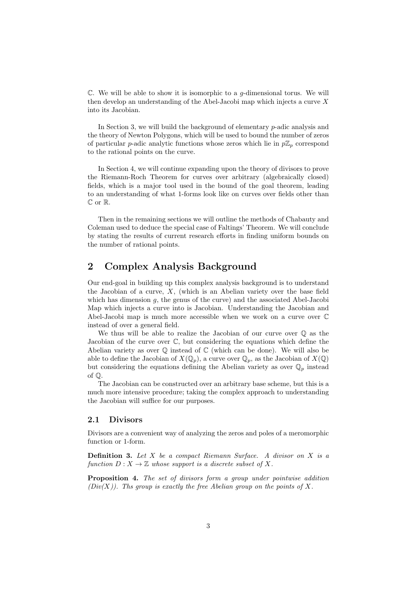$\mathbb C$ . We will be able to show it is isomorphic to a g-dimensional torus. We will then develop an understanding of the Abel-Jacobi map which injects a curve X into its Jacobian.

In Section 3, we will build the background of elementary p-adic analysis and the theory of Newton Polygons, which will be used to bound the number of zeros of particular p-adic analytic functions whose zeros which lie in  $p\mathbb{Z}_p$  correspond to the rational points on the curve.

In Section 4, we will continue expanding upon the theory of divisors to prove the Riemann-Roch Theorem for curves over arbitrary (algebraically closed) fields, which is a major tool used in the bound of the goal theorem, leading to an understanding of what 1-forms look like on curves over fields other than C or R.

Then in the remaining sections we will outline the methods of Chabauty and Coleman used to deduce the special case of Faltings' Theorem. We will conclude by stating the results of current research efforts in finding uniform bounds on the number of rational points.

# 2 Complex Analysis Background

Our end-goal in building up this complex analysis background is to understand the Jacobian of a curve,  $X$ , (which is an Abelian variety over the base field which has dimension  $q$ , the genus of the curve) and the associated Abel-Jacobi Map which injects a curve into is Jacobian. Understanding the Jacobian and Abel-Jacobi map is much more accessible when we work on a curve over C instead of over a general field.

We thus will be able to realize the Jacobian of our curve over Q as the Jacobian of the curve over C, but considering the equations which define the Abelian variety as over  $\mathbb Q$  instead of  $\mathbb C$  (which can be done). We will also be able to define the Jacobian of  $X(\mathbb{Q}_p)$ , a curve over  $\mathbb{Q}_p$ , as the Jacobian of  $X(\mathbb{Q})$ but considering the equations defining the Abelian variety as over  $\mathbb{Q}_p$  instead of Q.

The Jacobian can be constructed over an arbitrary base scheme, but this is a much more intensive procedure; taking the complex approach to understanding the Jacobian will suffice for our purposes.

#### 2.1 Divisors

Divisors are a convenient way of analyzing the zeros and poles of a meromorphic function or 1-form.

**Definition 3.** Let  $X$  be a compact Riemann Surface. A divisor on  $X$  is a function  $D: X \to \mathbb{Z}$  whose support is a discrete subset of X.

Proposition 4. The set of divisors form a group under pointwise addition  $(Div(X))$ . The group is exactly the free Abelian group on the points of X.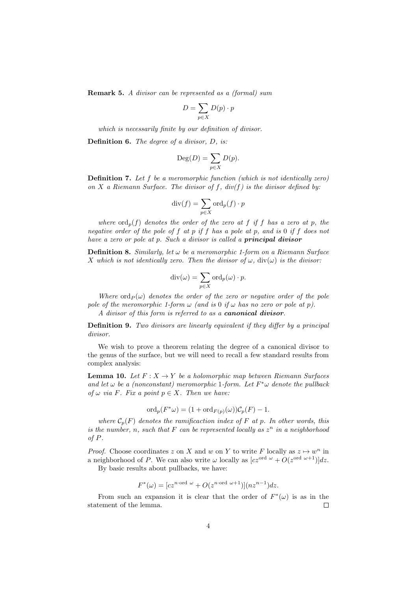Remark 5. A divisor can be represented as a (formal) sum

$$
D = \sum_{p \in X} D(p) \cdot p
$$

which is necessarily finite by our definition of divisor.

Definition 6. The degree of a divisor, D, is:

$$
\mathrm{Deg}(D)=\sum_{p\in X} D(p).
$$

Definition 7. Let f be a meromorphic function (which is not identically zero) on X a Riemann Surface. The divisor of f,  $div(f)$  is the divisor defined by:

$$
\mathrm{div}(f)=\sum_{p\in X}\mathrm{ord}_p(f)\cdot p
$$

where  $\text{ord}_p(f)$  denotes the order of the zero at f if f has a zero at p, the negative order of the pole of f at p if f has a pole at p, and is 0 if f does not have a zero or pole at p. Such a divisor is called a **principal divisor** 

**Definition 8.** Similarly, let  $\omega$  be a meromorphic 1-form on a Riemann Surface X which is not identically zero. Then the divisor of  $\omega$ , div $(\omega)$  is the divisor:

$$
\mathrm{div}(\omega) = \sum_{p \in X} \mathrm{ord}_p(\omega) \cdot p.
$$

Where  $\text{ord}_P(\omega)$  denotes the order of the zero or negative order of the pole pole of the meromorphic 1-form  $\omega$  (and is 0 if  $\omega$  has no zero or pole at p). A divisor of this form is referred to as a canonical divisor.

Definition 9. Two divisors are linearly equivalent if they differ by a principal divisor.

We wish to prove a theorem relating the degree of a canonical divisor to the genus of the surface, but we will need to recall a few standard results from complex analysis:

**Lemma 10.** Let  $F: X \to Y$  be a holomorphic map between Riemann Surfaces and let  $\omega$  be a (nonconstant) meromorphic 1-form. Let  $F^*\omega$  denote the pullback of  $\omega$  via F. Fix a point  $p \in X$ . Then we have:

$$
\mathrm{ord}_p(F^*\omega) = (1 + \mathrm{ord}_{F(p)}(\omega))\mathcal{C}_p(F) - 1.
$$

where  $C_p(F)$  denotes the ramificaction index of F at p. In other words, this is the number, n, such that  $F$  can be represented locally as  $z^n$  in a neighborhood of P.

*Proof.* Choose coordinates z on X and w on Y to write F locally as  $z \mapsto w^n$  in a neighborhood of P. We can also write  $\omega$  locally as  $[cz^{\text{ord }\omega} + O(z^{\text{ord }\omega+1})]dz$ .

By basic results about pullbacks, we have:

$$
F^*(\omega) = [cz^{n \text{ord } \omega} + O(z^{n \text{ord } \omega+1})](nz^{n-1})dz.
$$

From such an expansion it is clear that the order of  $F^*(\omega)$  is as in the statement of the lemma.  $\Box$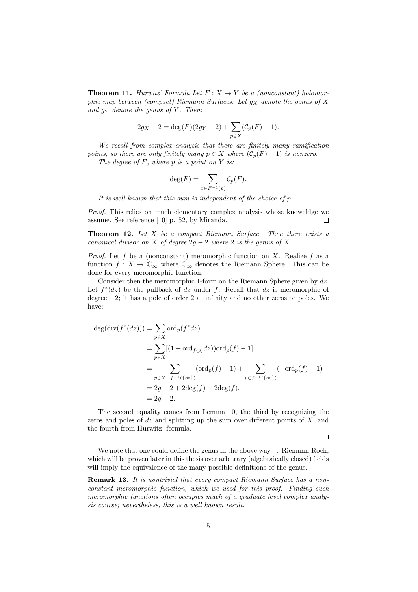**Theorem 11.** Hurwitz' Formula Let  $F: X \rightarrow Y$  be a (nonconstant) holomorphic map between (compact) Riemann Surfaces. Let  $g_X$  denote the genus of X and  $g_Y$  denote the genus of Y. Then:

$$
2g_X - 2 = \deg(F)(2g_Y - 2) + \sum_{p \in X} (\mathcal{C}_p(F) - 1).
$$

We recall from complex analysis that there are finitely many ramification points, so there are only finitely many  $p \in X$  where  $(\mathcal{C}_p(F) - 1)$  is nonzero.

The degree of  $F$ , where  $p$  is a point on  $Y$  is:

$$
\deg(F) = \sum_{x \in F^{-1}(p)} C_p(F).
$$

It is well known that this sum is independent of the choice of p.

Proof. This relies on much elementary complex analysis whose knoweldge we assume. See reference [10] p. 52, by Miranda.  $\Box$ 

**Theorem 12.** Let  $X$  be a compact Riemann Surface. Then there exists a canonical divisor on X of degree  $2g - 2$  where 2 is the genus of X.

*Proof.* Let f be a (nonconstant) meromorphic function on X. Realize f as a function  $f: X \to \mathbb{C}_{\infty}$  where  $\mathbb{C}_{\infty}$  denotes the Riemann Sphere. This can be done for every meromorphic function.

Consider then the meromorphic 1-form on the Riemann Sphere given by dz. Let  $f^*(dz)$  be the pullback of dz under f. Recall that dz is meromorphic of degree −2; it has a pole of order 2 at infinity and no other zeros or poles. We have:

$$
deg(div(f^*(dz))) = \sum_{p \in X} ord_p(f^*dz)
$$
  
= 
$$
\sum_{p \in X} [(1 + ord_{f(p)}dz))ord_p(f) - 1]
$$
  
= 
$$
\sum_{p \in X - f^{-1}(\{\infty\})} (ord_p(f) - 1) + \sum_{p \in f^{-1}(\{\infty\})} (-ord_p(f) - 1)
$$
  
= 
$$
2g - 2 + 2deg(f) - 2deg(f).
$$
  
= 
$$
2g - 2.
$$

The second equality comes from Lemma 10, the third by recognizing the zeros and poles of  $dz$  and splitting up the sum over different points of  $X$ , and the fourth from Hurwitz' formula.

 $\Box$ 

We note that one could define the genus in the above way - . Riemann-Roch, which will be proven later in this thesis over arbitrary (algebraically closed) fields will imply the equivalence of the many possible definitions of the genus.

Remark 13. It is nontrivial that every compact Riemann Surface has a nonconstant meromorphic function, which we used for this proof. Finding such meromorphic functions often occupies much of a graduate level complex analysis course; nevertheless, this is a well known result.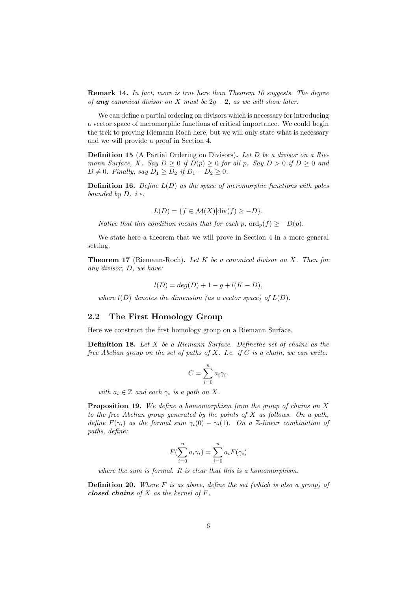Remark 14. In fact, more is true here than Theorem 10 suggests. The degree of any canonical divisor on X must be  $2g - 2$ , as we will show later.

We can define a partial ordering on divisors which is necessary for introducing a vector space of meromorphic functions of critical importance. We could begin the trek to proving Riemann Roch here, but we will only state what is necessary and we will provide a proof in Section 4.

Definition 15 (A Partial Ordering on Divisors). Let D be a divisor on a Riemann Surface, X. Say  $D \geq 0$  if  $D(p) \geq 0$  for all p. Say  $D > 0$  if  $D \geq 0$  and  $D \neq 0$ . Finally, say  $D_1 \geq D_2$  if  $D_1 - D_2 \geq 0$ .

**Definition 16.** Define  $L(D)$  as the space of meromorphic functions with poles bounded by D. i.e.

$$
L(D) = \{ f \in \mathcal{M}(X) | \text{div}(f) \ge -D \}.
$$

Notice that this condition means that for each p,  $\text{ord}_p(f) \geq -D(p)$ .

We state here a theorem that we will prove in Section 4 in a more general setting.

**Theorem 17** (Riemann-Roch). Let  $K$  be a canonical divisor on  $X$ . Then for any divisor, D, we have:

$$
l(D) = deg(D) + 1 - g + l(K - D),
$$

where  $l(D)$  denotes the dimension (as a vector space) of  $L(D)$ .

#### 2.2 The First Homology Group

Here we construct the first homology group on a Riemann Surface.

Definition 18. Let X be a Riemann Surface. Definethe set of chains as the free Abelian group on the set of paths of  $X$ . I.e. if  $C$  is a chain, we can write:

$$
C = \sum_{i=0}^{n} a_i \gamma_i.
$$

with  $a_i \in \mathbb{Z}$  and each  $\gamma_i$  is a path on X.

Proposition 19. We define a homomorphism from the group of chains on X to the free Abelian group generated by the points of  $X$  as follows. On a path, define  $F(\gamma_i)$  as the formal sum  $\gamma_i(0) - \gamma_i(1)$ . On a Z-linear combination of paths, define:

$$
F(\sum_{i=0}^{n} a_i \gamma_i) = \sum_{i=0}^{n} a_i F(\gamma_i)
$$

where the sum is formal. It is clear that this is a homomorphism.

**Definition 20.** Where  $F$  is as above, define the set (which is also a group) of closed chains of  $X$  as the kernel of  $F$ .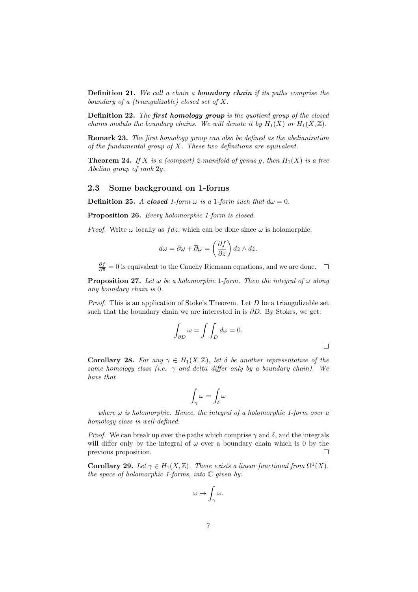Definition 21. We call a chain a boundary chain if its paths comprise the boundary of a (triangulizable) closed set of X.

Definition 22. The first homology group is the quotient group of the closed chains modulo the boundary chains. We will denote it by  $H_1(X)$  or  $H_1(X,\mathbb{Z})$ .

**Remark 23.** The first homology group can also be defined as the abelianization of the fundamental group of  $X$ . These two definitions are equivalent.

**Theorem 24.** If X is a (compact) 2-manifold of genus g, then  $H_1(X)$  is a free Abelian group of rank 2g.

#### 2.3 Some background on 1-forms

**Definition 25.** A closed 1-form  $\omega$  is a 1-form such that  $d\omega = 0$ .

Proposition 26. Every holomorphic 1-form is closed.

*Proof.* Write  $\omega$  locally as  $fdz$ , which can be done since  $\omega$  is holomorphic.

$$
d\omega = \partial \omega + \overline{\partial} \omega = \left(\frac{\partial f}{\partial \overline{z}}\right) dz \wedge d\overline{z}.
$$

 $\frac{\partial f}{\partial \overline{z}} = 0$  is equivalent to the Cauchy Riemann equations, and we are done.

**Proposition 27.** Let  $\omega$  be a holomorphic 1-form. Then the integral of  $\omega$  along any boundary chain is 0.

*Proof.* This is an application of Stoke's Theorem. Let  $D$  be a triangulizable set such that the boundary chain we are interested in is  $\partial D$ . By Stokes, we get:

$$
\int_{\partial D} \omega = \int \int_D d\omega = 0.
$$

**Corollary 28.** For any  $\gamma \in H_1(X,\mathbb{Z})$ , let  $\delta$  be another representative of the same homology class (i.e.  $\gamma$  and delta differ only by a boundary chain). We have that

$$
\int_{\gamma}\omega=\int_{\delta}\omega
$$

where  $\omega$  is holomorphic. Hence, the integral of a holomorphic 1-form over a homology class is well-defined.

*Proof.* We can break up over the paths which comprise  $\gamma$  and  $\delta$ , and the integrals will differ only by the integral of  $\omega$  over a boundary chain which is 0 by the previous proposition.  $\Box$ 

**Corollary 29.** Let  $\gamma \in H_1(X, \mathbb{Z})$ . There exists a linear functional from  $\Omega^1(X)$ , the space of holomorphic 1-forms, into  $\mathbb C$  given by:

$$
\omega\mapsto \int_{\gamma}\omega.
$$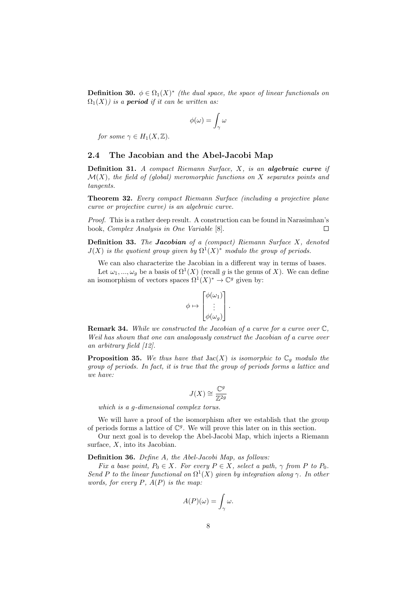**Definition 30.**  $\phi \in \Omega_1(X)^*$  (the dual space, the space of linear functionals on  $\Omega_1(X)$ ) is a **period** if it can be written as:

$$
\phi(\omega)=\int_{\gamma}\omega
$$

for some  $\gamma \in H_1(X, \mathbb{Z})$ .

#### 2.4 The Jacobian and the Abel-Jacobi Map

**Definition 31.** A compact Riemann Surface,  $X$ , is an algebraic curve if  $\mathcal{M}(X)$ , the field of (global) meromorphic functions on X separates points and tangents.

Theorem 32. Every compact Riemann Surface (including a projective plane curve or projective curve) is an algebraic curve.

Proof. This is a rather deep result. A construction can be found in Narasimhan's book, Complex Analysis in One Variable [8]. П

**Definition 33.** The Jacobian of a (compact) Riemann Surface  $X$ , denoted  $J(X)$  is the quotient group given by  $\Omega^1(X)^*$  modulo the group of periods.

We can also characterize the Jacobian in a different way in terms of bases.

Let  $\omega_1, ..., \omega_g$  be a basis of  $\Omega^1(X)$  (recall g is the genus of X). We can define an isomorphism of vectors spaces  $\Omega^1(X)^* \to \mathbb{C}^g$  given by:

$$
\phi \mapsto \begin{bmatrix} \phi(\omega_1) \\ \vdots \\ \phi(\omega_g) \end{bmatrix}.
$$

Remark 34. While we constructed the Jacobian of a curve for a curve over  $\mathbb{C}$ . Weil has shown that one can analogously construct the Jacobian of a curve over an arbitrary field [12].

**Proposition 35.** We thus have that  $Jac(X)$  is isomorphic to  $\mathbb{C}_q$  modulo the group of periods. In fact, it is true that the group of periods forms a lattice and we have:

$$
J(X) \cong \frac{\mathbb{C}^g}{\mathbb{Z}^{2g}}
$$

which is a g-dimensional complex torus.

We will have a proof of the isomorphism after we establish that the group of periods forms a lattice of  $\mathbb{C}^g$ . We will prove this later on in this section.

Our next goal is to develop the Abel-Jacobi Map, which injects a Riemann surface,  $X$ , into its Jacobian.

Definition 36. Define A, the Abel-Jacobi Map, as follows:

Fix a base point,  $P_0 \in X$ . For every  $P \in X$ , select a path,  $\gamma$  from P to  $P_0$ . Send P to the linear functional on  $\Omega^1(X)$  given by integration along  $\gamma$ . In other words, for every  $P$ ,  $A(P)$  is the map:

$$
A(P)(\omega) = \int_{\gamma} \omega.
$$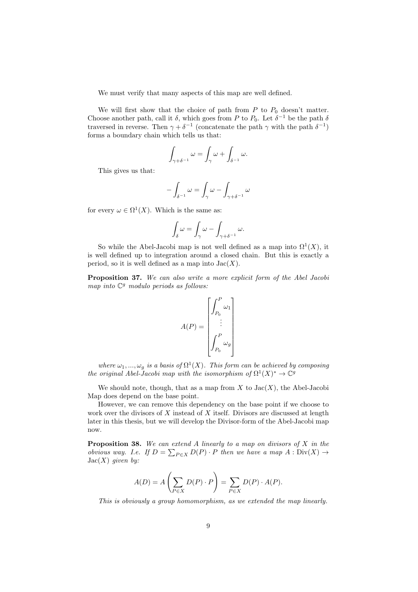We must verify that many aspects of this map are well defined.

We will first show that the choice of path from  $P$  to  $P_0$  doesn't matter. Choose another path, call it  $\delta$ , which goes from P to  $P_0$ . Let  $\delta^{-1}$  be the path  $\delta$ traversed in reverse. Then  $\gamma + \delta^{-1}$  (concatenate the path  $\gamma$  with the path  $\delta^{-1}$ ) forms a boundary chain which tells us that:

$$
\int_{\gamma+\delta^{-1}}\omega=\int_{\gamma}\omega+\int_{\delta^{-1}}\omega.
$$

This gives us that:

$$
-\int_{\delta^{-1}} \omega = \int_{\gamma} \omega - \int_{\gamma + \delta^{-1}} \omega
$$

for every  $\omega \in \Omega^1(X)$ . Which is the same as:

$$
\int_{\delta} \omega = \int_{\gamma} \omega - \int_{\gamma + \delta^{-1}} \omega.
$$

So while the Abel-Jacobi map is not well defined as a map into  $\Omega^1(X)$ , it is well defined up to integration around a closed chain. But this is exactly a period, so it is well defined as a map into  $Jac(X)$ .

Proposition 37. We can also write a more explicit form of the Abel Jacobi map into  $\mathbb{C}^g$  modulo periods as follows:

$$
A(P) = \begin{bmatrix} \int_{P_0}^{P} \omega_1 \\ \vdots \\ \int_{P_0}^{P} \omega_g \end{bmatrix}
$$

where  $\omega_1, ..., \omega_g$  is a basis of  $\Omega^1(X)$ . This form can be achieved by composing the original Abel-Jacobi map with the isomorphism of  $\Omega^1(X)^* \to \mathbb{C}^g$ 

We should note, though, that as a map from  $X$  to  $Jac(X)$ , the Abel-Jacobi Map does depend on the base point.

However, we can remove this dependency on the base point if we choose to work over the divisors of  $X$  instead of  $X$  itself. Divisors are discussed at length later in this thesis, but we will develop the Divisor-form of the Abel-Jacobi map now.

**Proposition 38.** We can extend A linearly to a map on divisors of  $X$  in the obvious way. I.e. If  $D = \sum_{P \in X} D(P) \cdot P$  then we have a map  $A : Div(X) \rightarrow$  $Jac(X)$  given by:

$$
A(D) = A\left(\sum_{P \in X} D(P) \cdot P\right) = \sum_{P \in X} D(P) \cdot A(P).
$$

This is obviously a group homomorphism, as we extended the map linearly.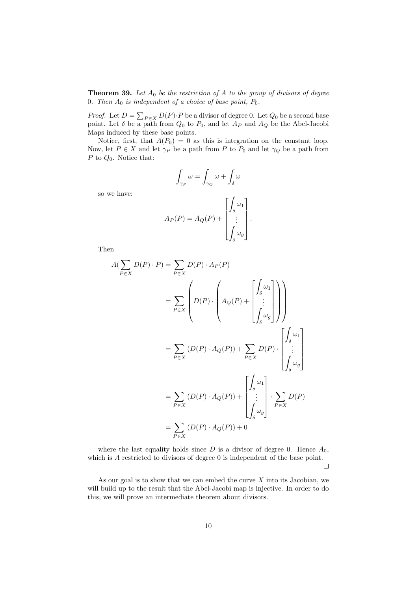**Theorem 39.** Let  $A_0$  be the restriction of A to the group of divisors of degree 0. Then  $A_0$  is independent of a choice of base point,  $P_0$ .

*Proof.* Let  $D = \sum_{P \in X} D(P) \cdot P$  be a divisor of degree 0. Let  $Q_0$  be a second base point. Let  $\delta$  be a path from  $Q_0$  to  $P_0$ , and let  $A_P$  and  $A_Q$  be the Abel-Jacobi Maps induced by these base points.

Notice, first, that  $A(P_0) = 0$  as this is integration on the constant loop. Now, let  $P \in X$  and let  $\gamma_P$  be a path from P to  $P_0$  and let  $\gamma_Q$  be a path from P to  $Q_0$ . Notice that:

$$
\int_{\gamma_P} \omega = \int_{\gamma_Q} \omega + \int_{\delta} \omega
$$

so we have:

$$
A_P(P) = A_Q(P) + \begin{bmatrix} \int_{\delta} \omega_1 \\ \vdots \\ \int_{\delta} \omega_g \end{bmatrix}.
$$

Then

$$
A(\sum_{P \in X} D(P) \cdot P) = \sum_{P \in X} D(P) \cdot A_P(P)
$$
  
= 
$$
\sum_{P \in X} \left( D(P) \cdot \begin{pmatrix} 0 & 0 \\ 0 & 0 \\ 0 & 0 \\ 0 & 0 \end{pmatrix} + \begin{pmatrix} 0 & 0 \\ 0 & 0 \\ 0 & 0 \\ 0 & 0 \end{pmatrix} \right)
$$
  
= 
$$
\sum_{P \in X} (D(P) \cdot A_Q(P)) + \sum_{P \in X} D(P) \cdot \begin{bmatrix} \int_{\delta} \omega_1 \\ \vdots \\ \int_{\delta} \omega_g \end{bmatrix}
$$
  
= 
$$
\sum_{P \in X} (D(P) \cdot A_Q(P)) + \begin{bmatrix} \int_{\delta} \omega_1 \\ \vdots \\ \int_{\delta} \omega_g \end{bmatrix} \cdot \sum_{P \in X} D(P)
$$
  
= 
$$
\sum_{P \in X} (D(P) \cdot A_Q(P)) + 0
$$

where the last equality holds since  $D$  is a divisor of degree 0. Hence  $A_0$ , which is  $A$  restricted to divisors of degree  $0$  is independent of the base point.

 $\Box$ 

As our goal is to show that we can embed the curve  $X$  into its Jacobian, we will build up to the result that the Abel-Jacobi map is injective. In order to do this, we will prove an intermediate theorem about divisors.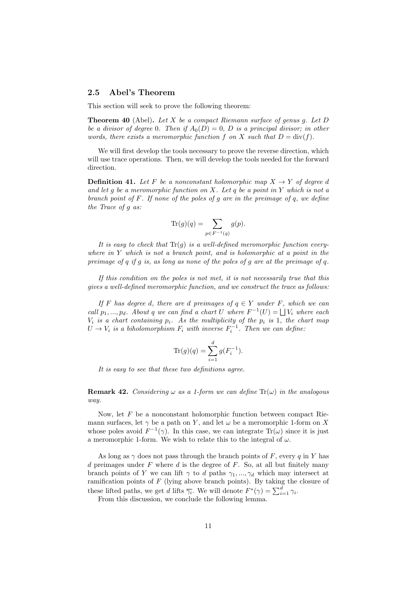#### 2.5 Abel's Theorem

This section will seek to prove the following theorem:

**Theorem 40** (Abel). Let X be a compact Riemann surface of genus g. Let D be a divisor of degree 0. Then if  $A_0(D) = 0$ , D is a principal divisor; in other words, there exists a meromorphic function f on X such that  $D = \text{div}(f)$ .

We will first develop the tools necessary to prove the reverse direction, which will use trace operations. Then, we will develop the tools needed for the forward direction.

**Definition 41.** Let F be a nonconstant holomorphic map  $X \to Y$  of degree d and let g be a meromorphic function on  $X$ . Let q be a point in Y which is not a branch point of  $F$ . If none of the poles of  $g$  are in the preimage of  $q$ , we define the Trace of g as:

$$
\operatorname{Tr}(g)(q) = \sum_{p \in F^{-1}(q)} g(p).
$$

It is easy to check that  $\text{Tr}(q)$  is a well-defined meromorphic function everywhere in  $Y$  which is not a branch point, and is holomorphic at a point in the preimage of q if g is, as long as none of the poles of g are at the preimage of q.

If this condition on the poles is not met, it is not necessarily true that this gives a well-defined meromorphic function, and we construct the trace as follows:

If F has degree d, there are d preimages of  $q \in Y$  under F, which we can call  $p_1, ..., p_d$ . About q we can find a chart U where  $F^{-1}(U) = \bigsqcup V_i$  where each  $V_i$  is a chart containing  $p_i$ . As the multiplicity of the  $p_i$  is 1, the chart map  $U \rightarrow V_i$  is a biholomorphism  $F_i$  with inverse  $F_i^{-1}$ . Then we can define:

$$
\text{Tr}(g)(q) = \sum_{i=1}^{d} g(F_i^{-1}).
$$

It is easy to see that these two definitions agree.

**Remark 42.** Considering  $\omega$  as a 1-form we can define  $\text{Tr}(\omega)$  in the analogous way.

Now, let  $F$  be a nonconstant holomorphic function between compact Riemann surfaces, let  $\gamma$  be a path on Y, and let  $\omega$  be a meromorphic 1-form on X whose poles avoid  $F^{-1}(\gamma)$ . In this case, we can integrate  $\text{Tr}(\omega)$  since it is just a meromorphic 1-form. We wish to relate this to the integral of  $\omega$ .

As long as  $\gamma$  does not pass through the branch points of F, every q in Y has  $d$  preimages under  $F$  where  $d$  is the degree of  $F$ . So, at all but finitely many branch points of Y we can lift  $\gamma$  to d paths  $\gamma_1, ..., \gamma_d$  which may intersect at ramification points of  $F$  (lying above branch points). By taking the closure of these lifted paths, we get d lifts  $\overline{\gamma_i}$ . We will denote  $F^*(\gamma) = \sum_{i=1}^d \gamma_i$ .

From this discussion, we conclude the following lemma.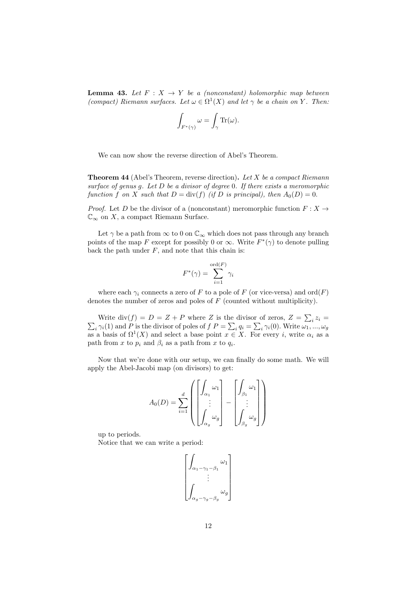**Lemma 43.** Let  $F: X \rightarrow Y$  be a (nonconstant) holomorphic map between (compact) Riemann surfaces. Let  $\omega \in \Omega^1(X)$  and let  $\gamma$  be a chain on Y. Then:

$$
\int_{F^*(\gamma)} \omega = \int_{\gamma} \text{Tr}(\omega).
$$

We can now show the reverse direction of Abel's Theorem.

**Theorem 44** (Abel's Theorem, reverse direction). Let X be a compact Riemann surface of genus g. Let  $D$  be a divisor of degree 0. If there exists a meromorphic function f on X such that  $D = \text{div}(f)$  (if D is principal), then  $A_0(D) = 0$ .

*Proof.* Let D be the divisor of a (nonconstant) meromorphic function  $F: X \rightarrow$  $\mathbb{C}_{\infty}$  on X, a compact Riemann Surface.

Let  $\gamma$  be a path from  $\infty$  to 0 on  $\mathbb{C}_{\infty}$  which does not pass through any branch points of the map F except for possibly 0 or  $\infty$ . Write  $F^*(\gamma)$  to denote pulling back the path under  $F$ , and note that this chain is:

$$
F^*(\gamma) = \sum_{i=1}^{\text{ord}(F)} \gamma_i
$$

where each  $\gamma_i$  connects a zero of F to a pole of F (or vice-versa) and ord $(F)$ denotes the number of zeros and poles of  $F$  (counted without multiplicity).

Write  $\text{div}(f) = D = Z + P$  where Z is the divisor of zeros,  $Z = \sum_i z_i =$  $\sum_i \gamma_i(1)$  and P is the divisor of poles of  $f P = \sum_i q_i = \sum_i \gamma_i(0)$ . Write  $\omega_1, ..., \omega_g$ as a basis of  $\Omega^1(X)$  and select a base point  $x \in X$ . For every i, write  $\alpha_i$  as a path from x to  $p_i$  and  $\beta_i$  as a path from x to  $q_i$ .

Now that we're done with our setup, we can finally do some math. We will apply the Abel-Jacobi map (on divisors) to get:

$$
A_0(D) = \sum_{i=1}^d \left( \begin{bmatrix} \int_{\alpha_1} \omega_1 \\ \vdots \\ \int_{\alpha_g} \omega_g \end{bmatrix} - \begin{bmatrix} \int_{\beta_1} \omega_1 \\ \vdots \\ \int_{\beta_g} \omega_g \end{bmatrix} \right)
$$

up to periods.

Notice that we can write a period:

$$
\begin{bmatrix} \int_{\alpha_1 - \gamma_1 - \beta_1} \omega_1 \\ \vdots \\ \int_{\alpha_g - \gamma_g - \beta_g} \omega_g \end{bmatrix}
$$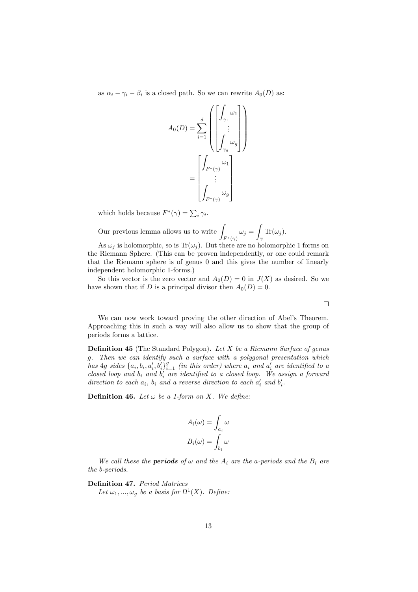as  $\alpha_i - \gamma_i - \beta_i$  is a closed path. So we can rewrite  $A_0(D)$  as:

$$
A_0(D) = \sum_{i=1}^d \left( \begin{bmatrix} \int_{\gamma_1} \omega_1 \\ \vdots \\ \int_{\gamma_g} \omega_g \end{bmatrix} \right)
$$

$$
= \begin{bmatrix} \int_{F^*(\gamma)} \omega_1 \\ \vdots \\ \int_{F^*(\gamma)} \omega_g \end{bmatrix}
$$

which holds because  $F^*(\gamma) = \sum_i \gamma_i$ .

Our previous lemma allows us to write  $\int_{F^*(\gamma)} \omega_j = \int$  $\int_{\gamma} \text{Tr}(\omega_j)$ .

As  $\omega_i$  is holomorphic, so is Tr( $\omega_i$ ). But there are no holomorphic 1 forms on the Riemann Sphere. (This can be proven independently, or one could remark that the Riemann sphere is of genus 0 and this gives the number of linearly independent holomorphic 1-forms.)

So this vector is the zero vector and  $A_0(D) = 0$  in  $J(X)$  as desired. So we have shown that if D is a principal divisor then  $A_0(D) = 0$ .

We can now work toward proving the other direction of Abel's Theorem. Approaching this in such a way will also allow us to show that the group of periods forms a lattice.

**Definition 45** (The Standard Polygon). Let  $X$  be a Riemann Surface of genus g. Then we can identify such a surface with a polygonal presentation which has  $4g$  sides  $\{a_i, b_i, a'_i, b'_i\}_{i=1}^g$  (in this order) where  $a_i$  and  $a'_i$  are identified to a closed loop and  $b_i$  and  $b'_i$  are identified to a closed loop. We assign a forward direction to each  $a_i$ ,  $b_i$  and a reverse direction to each  $a'_i$  and  $b'_i$ .

**Definition 46.** Let  $\omega$  be a 1-form on X. We define:

$$
A_i(\omega) = \int_{a_i} \omega
$$

$$
B_i(\omega) = \int_{b_i} \omega
$$

We call these the **periods** of  $\omega$  and the  $A_i$  are the a-periods and the  $B_i$  are the b-periods.

Definition 47. Period Matrices

Let  $\omega_1, ..., \omega_g$  be a basis for  $\Omega^1(X)$ . Define:

 $\Box$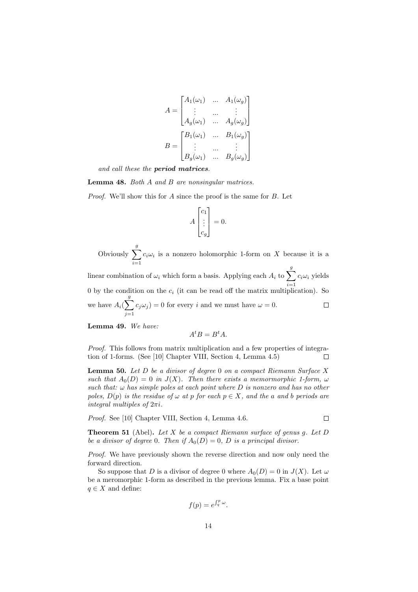$$
A = \begin{bmatrix} A_1(\omega_1) & \dots & A_1(\omega_g) \\ \vdots & \dots & \vdots \\ A_g(\omega_1) & \dots & A_g(\omega_g) \end{bmatrix}
$$

$$
B = \begin{bmatrix} B_1(\omega_1) & \dots & B_1(\omega_g) \\ \vdots & \dots & \vdots \\ B_g(\omega_1) & \dots & B_g(\omega_g) \end{bmatrix}
$$

and call these the period matrices.

Lemma 48. Both A and B are nonsingular matrices.

Proof. We'll show this for A since the proof is the same for B. Let

$$
A \begin{bmatrix} c_1 \\ \vdots \\ c_g \end{bmatrix} = 0.
$$

Obviously  $\sum_{a}^{g}$  $i=1$  $c_i\omega_i$  is a nonzero holomorphic 1-form on X because it is a

linear combination of  $\omega_i$  which form a basis. Applying each  $A_i$  to  $\sum_{i=1}^{g}$  $c_i\omega_i$  yields  $i=1$ 0 by the condition on the  $c_i$  (it can be read off the matrix multiplication). So we have  $A_i(\sum^g)$  $\Box$  $c_j\omega_j = 0$  for every i and we must have  $\omega = 0$ .  $j=1$ 

Lemma 49. We have:

$$
A^t B = B^t A.
$$

Proof. This follows from matrix multiplication and a few properties of integration of 1-forms. (See [10] Chapter VIII, Section 4, Lemma 4.5)  $\Box$ 

**Lemma 50.** Let  $D$  be a divisor of degree 0 on a compact Riemann Surface  $X$ such that  $A_0(D) = 0$  in  $J(X)$ . Then there exists a memormorphic 1-form,  $\omega$ such that:  $\omega$  has simple poles at each point where  $D$  is nonzero and has no other poles,  $D(p)$  is the residue of  $\omega$  at p for each  $p \in X$ , and the a and b periods are integral multiples of  $2\pi i$ .

Proof. See [10] Chapter VIII, Section 4, Lemma 4.6.

**Theorem 51** (Abel). Let X be a compact Riemann surface of genus g. Let D be a divisor of degree 0. Then if  $A_0(D) = 0$ , D is a principal divisor.

 $\Box$ 

Proof. We have previously shown the reverse direction and now only need the forward direction.

So suppose that D is a divisor of degree 0 where  $A_0(D) = 0$  in  $J(X)$ . Let  $\omega$ be a meromorphic 1-form as described in the previous lemma. Fix a base point  $q \in X$  and define:

$$
f(p) = e^{\int_q^p \omega}.
$$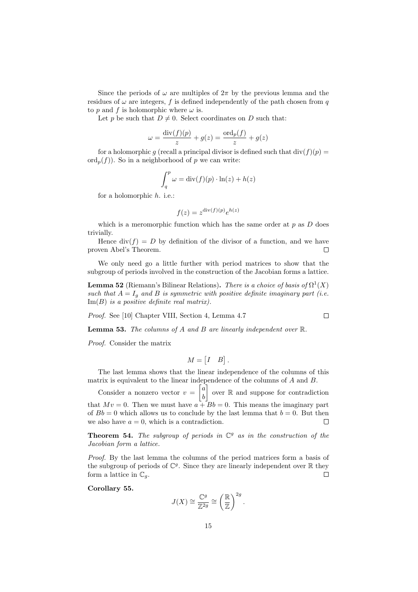Since the periods of  $\omega$  are multiples of  $2\pi$  by the previous lemma and the residues of  $\omega$  are integers, f is defined independently of the path chosen from q to p and f is holomorphic where  $\omega$  is.

Let p be such that  $D \neq 0$ . Select coordinates on D such that:

$$
\omega = \frac{\text{div}(f)(p)}{z} + g(z) = \frac{\text{ord}_p(f)}{z} + g(z)
$$

for a holomorphic g (recall a principal divisor is defined such that  $\text{div}(f)(p) =$  $\text{ord}_p(f)$ ). So in a neighborhood of p we can write:

$$
\int_{q}^{p} \omega = \text{div}(f)(p) \cdot \ln(z) + h(z)
$$

for a holomorphic h. i.e.:

$$
f(z) = z^{\text{div}(f)(p)} e^{h(z)}
$$

which is a meromorphic function which has the same order at  $p$  as  $D$  does trivially.

Hence  $div(f) = D$  by definition of the divisor of a function, and we have proven Abel's Theorem.  $\Box$ 

We only need go a little further with period matrices to show that the subgroup of periods involved in the construction of the Jacobian forms a lattice.

**Lemma 52** (Riemann's Bilinear Relations). There is a choice of basis of  $\Omega^1(X)$ such that  $A = I_q$  and B is symmetric with positive definite imaginary part (i.e.  $\text{Im}(B)$  is a positive definite real matrix).

 $\Box$ 

Proof. See [10] Chapter VIII, Section 4, Lemma 4.7

**Lemma 53.** The columns of A and B are linearly independent over  $\mathbb{R}$ .

Proof. Consider the matrix

$$
M = \begin{bmatrix} I & B \end{bmatrix}.
$$

The last lemma shows that the linear independence of the columns of this matrix is equivalent to the linear independence of the columns of A and B.

Consider a nonzero vector  $v = \begin{bmatrix} a \\ b \end{bmatrix}$  $\cos \theta$  over  $\Re$  and suppose for contradiction b that  $Mv = 0$ . Then we must have  $a + Bb = 0$ . This means the imaginary part of  $Bb = 0$  which allows us to conclude by the last lemma that  $b = 0$ . But then we also have  $a = 0$ , which is a contradiction. П

**Theorem 54.** The subgroup of periods in  $\mathbb{C}^g$  as in the construction of the Jacobian form a lattice.

Proof. By the last lemma the columns of the period matrices form a basis of the subgroup of periods of  $\mathbb{C}^g$ . Since they are linearly independent over  $\mathbb R$  they form a lattice in  $\mathbb{C}_q$ . П

Corollary 55.

$$
J(X) \cong \frac{\mathbb{C}^g}{\mathbb{Z}^{2g}} \cong \left(\frac{\mathbb{R}}{\mathbb{Z}}\right)^{2g}.
$$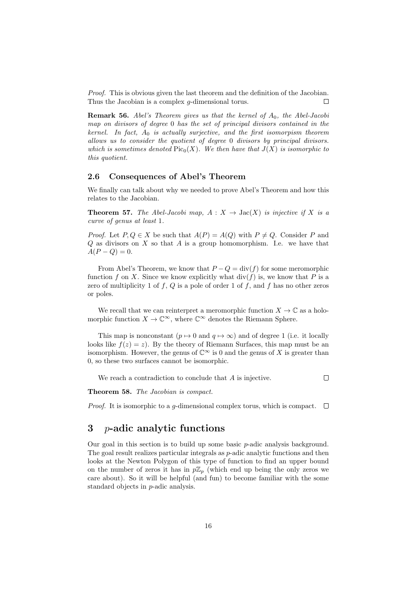Proof. This is obvious given the last theorem and the definition of the Jacobian. Thus the Jacobian is a complex g-dimensional torus. П

**Remark 56.** Abel's Theorem gives us that the kernel of  $A_0$ , the Abel-Jacobi map on divisors of degree 0 has the set of principal divisors contained in the kernel. In fact,  $A_0$  is actually surjective, and the first isomorpism theorem allows us to consider the quotient of degree 0 divisors by principal divisors. which is sometimes denoted  $Pic_0(X)$ . We then have that  $J(X)$  is isomorphic to this quotient.

#### 2.6 Consequences of Abel's Theorem

We finally can talk about why we needed to prove Abel's Theorem and how this relates to the Jacobian.

**Theorem 57.** The Abel-Jacobi map,  $A: X \rightarrow \text{Jac}(X)$  is injective if X is a curve of genus at least 1.

*Proof.* Let  $P, Q \in X$  be such that  $A(P) = A(Q)$  with  $P \neq Q$ . Consider P and  $Q$  as divisors on  $X$  so that  $A$  is a group homomorphism. I.e. we have that  $A(P - Q) = 0.$ 

From Abel's Theorem, we know that  $P - Q = \text{div}(f)$  for some meromorphic function f on X. Since we know explicitly what  $div(f)$  is, we know that P is a zero of multiplicity 1 of f, Q is a pole of order 1 of f, and f has no other zeros or poles.

We recall that we can reinterpret a meromorphic function  $X \to \mathbb{C}$  as a holomorphic function  $X \to \mathbb{C}^{\infty}$ , where  $\mathbb{C}^{\infty}$  denotes the Riemann Sphere.

This map is nonconstant  $(p \mapsto 0$  and  $q \mapsto \infty)$  and of degree 1 (i.e. it locally looks like  $f(z) = z$ ). By the theory of Riemann Surfaces, this map must be an isomorphism. However, the genus of  $\mathbb{C}^{\infty}$  is 0 and the genus of X is greater than 0, so these two surfaces cannot be isomorphic.

We reach a contradiction to conclude that A is injective.

 $\Box$ 

Theorem 58. The Jacobian is compact.

*Proof.* It is isomorphic to a g-dimensional complex torus, which is compact.  $\Box$ 

## 3 p-adic analytic functions

Our goal in this section is to build up some basic p-adic analysis background. The goal result realizes particular integrals as p-adic analytic functions and then looks at the Newton Polygon of this type of function to find an upper bound on the number of zeros it has in  $p\mathbb{Z}_p$  (which end up being the only zeros we care about). So it will be helpful (and fun) to become familiar with the some standard objects in p-adic analysis.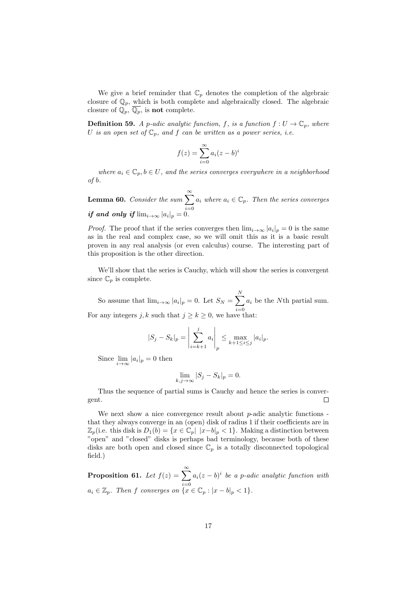We give a brief reminder that  $\mathbb{C}_p$  denotes the completion of the algebraic closure of  $\mathbb{Q}_p$ , which is both complete and algebraically closed. The algebraic closure of  $\mathbb{Q}_p$ ,  $\overline{\mathbb{Q}_p}$ , is **not** complete.

**Definition 59.** A p-adic analytic function, f, is a function  $f: U \to \mathbb{C}_p$ , where U is an open set of  $\mathbb{C}_p$ , and f can be written as a power series, i.e.

$$
f(z) = \sum_{i=0}^{\infty} a_i (z - b)^i
$$

where  $a_i \in \mathbb{C}_p$ ,  $b \in U$ , and the series converges everywhere in a neighborhood of b.

**Lemma 60.** Consider the sum  $\sum_{n=1}^{\infty}$  $i=0$  $a_i$  where  $a_i \in \mathbb{C}_p$ . Then the series converges if and only if  $\lim_{i\to\infty} |a_i|_p = 0$ .

*Proof.* The proof that if the series converges then  $\lim_{i\to\infty} |a_i|_p = 0$  is the same as in the real and complex case, so we will omit this as it is a basic result proven in any real analysis (or even calculus) course. The interesting part of this proposition is the other direction.

We'll show that the series is Cauchy, which will show the series is convergent since  $\mathbb{C}_p$  is complete.

So assume that  $\lim_{i\to\infty} |a_i|_p = 0$ . Let  $S_N = \sum_{i=1}^N$  $i=0$  $a_i$  be the Nth partial sum. For any integers j, k such that  $j \ge k \ge 0$ , we have that:

$$
|S_j - S_k|_p = \left| \sum_{i=k+1}^j a_i \right|_p \le \max_{k+1 \le i \le j} |a_i|_p.
$$

Since  $\lim_{i \to \infty} |a_i|_p = 0$  then

$$
\lim_{k,j \to \infty} |S_j - S_k|_p = 0.
$$

Thus the sequence of partial sums is Cauchy and hence the series is convergent.  $\Box$ 

We next show a nice convergence result about  $p$ -adic analytic functions that they always converge in an (open) disk of radius 1 if their coefficients are in  $\mathbb{Z}_p$ (i.e. this disk is  $D_1(b) = \{x \in \mathbb{C}_p | |x-b|_p < 1\}$ . Making a distinction between "open" and "closed" disks is perhaps bad terminology, because both of these disks are both open and closed since  $\mathbb{C}_p$  is a totally disconnected topological field.)

**Proposition 61.** Let  $f(z) = \sum_{n=0}^{\infty}$  $i=0$  $a_i(z-b)^i$  be a p-adic analytic function with  $a_i \in \mathbb{Z}_p$ . Then f converges on  $\{x \in \mathbb{C}_p : |x - b|_p < 1\}.$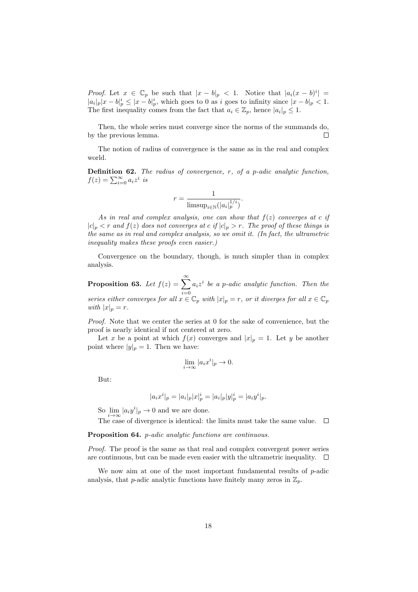*Proof.* Let  $x \in \mathbb{C}_p$  be such that  $|x - b|_p < 1$ . Notice that  $|a_i(x - b)^i|$  $|a_i|_p |x - b|_p^i \le |x - b|_p^i$ , which goes to 0 as i goes to infinity since  $|x - b|_p < 1$ . The first inequality comes from the fact that  $a_i \in \mathbb{Z}_p$ , hence  $|a_i|_p \leq 1$ .

Then, the whole series must converge since the norms of the summands do, by the previous lemma.  $\Box$ 

The notion of radius of convergence is the same as in the real and complex world.

**Definition 62.** The radius of convergence,  $r$ , of a p-adic analytic function,  $f(z) = \sum_{i=0}^{\infty} a_i z^i$  is

$$
r = \frac{1}{\text{limsup}_{i \in \mathbb{N}} (|a_i|_p^{1/i})}.
$$

As in real and complex analysis, one can show that  $f(z)$  converges at c if  $|c|_p < r$  and  $f(z)$  does not converges at c if  $|c|_p > r$ . The proof of these things is the same as in real and complex analysis, so we omit it. (In fact, the ultrametric inequality makes these proofs even easier.)

Convergence on the boundary, though, is much simpler than in complex analysis.

**Proposition 63.** Let  $f(z) = \sum_{n=0}^{\infty}$  $i=0$  $a_i z^i$  be a p-adic analytic function. Then the series either converges for all  $x \in \mathbb{C}_p$  with  $|x|_p = r$ , or it diverges for all  $x \in \mathbb{C}_p$ with  $|x|_p = r$ .

Proof. Note that we center the series at 0 for the sake of convenience, but the proof is nearly identical if not centered at zero.

Let x be a point at which  $f(x)$  converges and  $|x|_p = 1$ . Let y be another point where  $|y|_p = 1$ . Then we have:

$$
\lim_{i \to \infty} |a_i x^i|_p \to 0.
$$

But:

$$
|a_i x^i|_p = |a_i|_p |x|^i_p = |a_i|_p |y|^i_p = |a_i y^i|_p.
$$

So  $\lim_{i\to\infty} |a_i y^i|_p \to 0$  and we are done.

The case of divergence is identical: the limits must take the same value.  $\Box$ 

Proposition 64. *p-adic analytic functions are continuous.* 

Proof. The proof is the same as that real and complex convergent power series are continuous, but can be made even easier with the ultrametric inequality.  $\Box$ 

We now aim at one of the most important fundamental results of  $p$ -adic analysis, that p-adic analytic functions have finitely many zeros in  $\mathbb{Z}_p$ .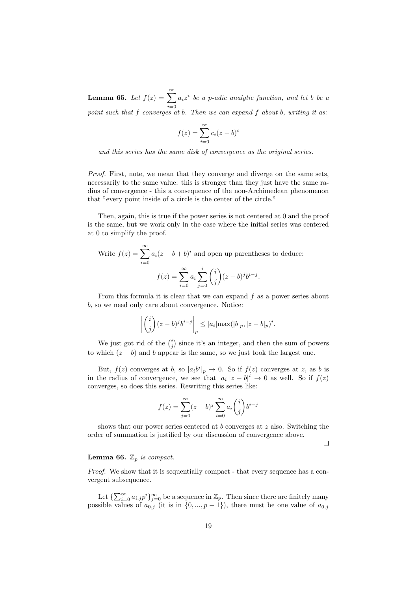**Lemma 65.** Let  $f(z) = \sum_{n=0}^{\infty}$  $i=0$  $a_i z^i$  be a p-adic analytic function, and let b be a point such that f converges at b. Then we can expand f about b, writing it as:

$$
f(z) = \sum_{i=0}^{\infty} c_i (z - b)^i
$$

and this series has the same disk of convergence as the original series.

Proof. First, note, we mean that they converge and diverge on the same sets, necessarily to the same value: this is stronger than they just have the same radius of convergence - this a consequence of the non-Archimedean phenomenon that "every point inside of a circle is the center of the circle."

Then, again, this is true if the power series is not centered at 0 and the proof is the same, but we work only in the case where the initial series was centered at 0 to simplify the proof.

Write 
$$
f(z) = \sum_{i=0}^{\infty} a_i (z - b + b)^i
$$
 and open up parentheses to deduce:  

$$
f(z) = \sum_{i=0}^{\infty} a_i \sum_{j=0}^i {i \choose j} (z - b)^j b^{i-j}.
$$

From this formula it is clear that we can expand  $f$  as a power series about b, so we need only care about convergence. Notice:

$$
\left| {i \choose j} (z-b)^j b^{i-j} \right|_p \le |a_i| \max(|b|_p, |z-b|_p)^i.
$$

We just got rid of the  $\binom{i}{j}$  since it's an integer, and then the sum of powers to which  $(z - b)$  and b appear is the same, so we just took the largest one.

But,  $f(z)$  converges at b, so  $|a_i b^i|_p \to 0$ . So if  $f(z)$  converges at z, as b is in the radius of convergence, we see that  $|a_i||z-b|^i \to 0$  as well. So if  $f(z)$ converges, so does this series. Rewriting this series like:

$$
f(z) = \sum_{j=0}^{\infty} (z - b)^j \sum_{i=0}^{\infty} a_i \binom{i}{j} b^{i-j}
$$

shows that our power series centered at  $b$  converges at  $z$  also. Switching the order of summation is justified by our discussion of convergence above.

 $\Box$ 

#### **Lemma 66.**  $\mathbb{Z}_p$  is compact.

Proof. We show that it is sequentially compact - that every sequence has a convergent subsequence.

Let  $\{\sum_{i=0}^{\infty} a_{i,j} p^i\}_{j=0}^{\infty}$  be a sequence in  $\mathbb{Z}_p$ . Then since there are finitely many possible values of  $a_{0,j}$  (it is in  $\{0, ..., p-1\}$ ), there must be one value of  $a_{0,j}$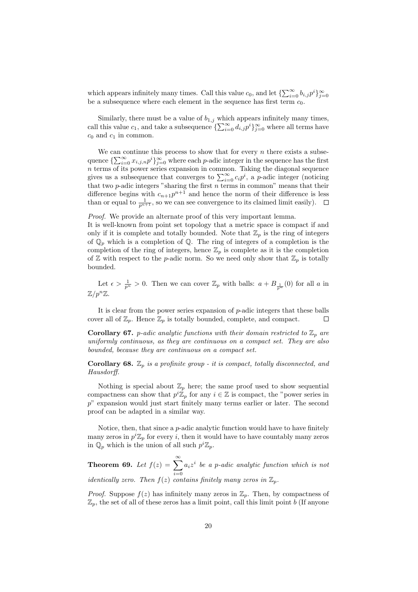which appears infinitely many times. Call this value  $c_0$ , and let  $\{\sum_{i=0}^{\infty} b_{i,j} p^i\}_{j=0}^{\infty}$ be a subsequence where each element in the sequence has first term  $c_0$ .

Similarly, there must be a value of  $b_{1,j}$  which appears infinitely many times, call this value  $c_1$ , and take a subsequence  $\{\sum_{i=0}^{\infty} d_{i,j} p^i\}_{j=0}^{\infty}$  where all terms have  $c_0$  and  $c_1$  in common.

We can continue this process to show that for every  $n$  there exists a subsequence  $\{\sum_{i=0}^{\infty} x_{i,j,n} p^i\}_{j=0}^{\infty}$  where each p-adic integer in the sequence has the first n terms of its power series expansion in common. Taking the diagonal sequence gives us a subsequence that converges to  $\sum_{i=0}^{\infty} c_i p^i$ , a p-adic integer (noticing that two  $p$ -adic integers "sharing the first  $n$  terms in common" means that their difference begins with  $c_{n+1}p^{n+1}$  and hence the norm of their difference is less than or equal to  $\frac{1}{p^{n+1}}$ , so we can see convergence to its claimed limit easily).

Proof. We provide an alternate proof of this very important lemma.

It is well-known from point set topology that a metric space is compact if and only if it is complete and totally bounded. Note that  $\mathbb{Z}_p$  is the ring of integers of  $\mathbb{Q}_p$  which is a completion of  $\mathbb{Q}$ . The ring of integers of a completion is the completion of the ring of integers, hence  $\mathbb{Z}_p$  is complete as it is the completion of  $\mathbb Z$  with respect to the *p*-adic norm. So we need only show that  $\mathbb Z_p$  is totally bounded.

Let  $\epsilon > \frac{1}{p^n} > 0$ . Then we can cover  $\mathbb{Z}_p$  with balls:  $a + B_{\frac{1}{p^n}}(0)$  for all a in  $\mathbb{Z}/p^n\mathbb{Z}$ .

It is clear from the power series expansion of  $p$ -adic integers that these balls cover all of  $\mathbb{Z}_p$ . Hence  $\mathbb{Z}_p$  is totally bounded, complete, and compact. С

**Corollary 67.** p-adic analytic functions with their domain restricted to  $\mathbb{Z}_p$  are uniformly continuous, as they are continuous on a compact set. They are also bounded, because they are continuous on a compact set.

**Corollary 68.**  $\mathbb{Z}_p$  is a profinite group - it is compact, totally disconnected, and Hausdorff.

Nothing is special about  $\mathbb{Z}_p$  here; the same proof used to show sequential compactness can show that  $p^i \mathbb{Z}_p$  for any  $i \in \mathbb{Z}$  is compact, the "power series in p" expansion would just start finitely many terms earlier or later. The second proof can be adapted in a similar way.

Notice, then, that since a p-adic analytic function would have to have finitely many zeros in  $p^i \mathbb{Z}_p$  for every i, then it would have to have countably many zeros in  $\mathbb{Q}_p$  which is the union of all such  $p^i \mathbb{Z}_p$ .

Theorem 69. Let  $f(z) = \sum_{n=0}^{\infty}$  $i=0$  $a_i z^i$  be a p-adic analytic function which is not identically zero. Then  $f(z)$  contains finitely many zeros in  $\mathbb{Z}_p$ .

*Proof.* Suppose  $f(z)$  has infinitely many zeros in  $\mathbb{Z}_p$ . Then, by compactness of  $\mathbb{Z}_p$ , the set of all of these zeros has a limit point, call this limit point b (If anyone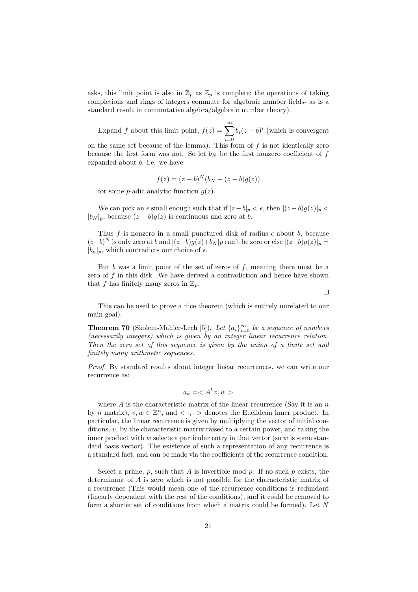asks, this limit point is also in  $\mathbb{Z}_p$  as  $\mathbb{Z}_p$  is complete; the operations of taking completions and rings of integers commute for algebraic number fields- as is a standard result in commutative algebra/algebraic number theory).

Expand f about this limit point,  $f(z) = \sum_{n=0}^{\infty}$  $i=0$  $b_i(z-b)^i$  (which is convergent on the same set because of the lemma). This form of  $f$  is not identically zero because the first form was not. So let  $b_N$  be the first nonzero coefficient of f

$$
f(z) = (z - b)^{N} (b_N + (z - b)g(z))
$$

for some *p*-adic analytic function  $q(z)$ .

expanded about  $b$ . i.e. we have:

We can pick an  $\epsilon$  small enough such that if  $|z - b|_p < \epsilon$ , then  $|(z - b)g(z)|_p <$  $|b_N|_p$ , because  $(z - b)g(z)$  is continuous and zero at b.

Thus f is nonzero in a small punctured disk of radius  $\epsilon$  about b, because  $(z-b)^N$  is only zero at b and  $|(z-b)g(z)+b_N|p$  can't be zero or else  $|(z-b)g(z)|_p =$  $|b_n|_p$ , which contradicts our choice of  $\epsilon$ .

But b was a limit point of the set of zeros of  $f$ , meaning there must be a zero of  $f$  in this disk. We have derived a contradiction and hence have shown that f has finitely many zeros in  $\mathbb{Z}_p$ .

 $\Box$ 

This can be used to prove a nice theorem (which is entirely unrelated to our main goal):

**Theorem 70** (Skolem-Mahler-Lech [5]). Let  $\{a_i\}_{i=0}^{\infty}$  be a sequence of numbers (necessarily integers) which is given by an integer linear recurrence relation. Then the zero set of this sequence is given by the union of a finite set and finitely many arithmetic sequences.

Proof. By standard results about integer linear recurrences, we can write our recurrence as:

$$
a_k = \langle A^k v, w \rangle
$$

where  $A$  is the characteristic matrix of the linear recurrence (Say it is an  $n$ ) by n matrix),  $v, w \in \mathbb{Z}^n$ , and  $\langle \cdot, \cdot \rangle$  denotes the Euclidean inner product. In particular, the linear recurrence is given by multiplying the vector of initial conditions,  $v$ , by the characteristic matrix raised to a certain power, and taking the inner product with w selects a particular entry in that vector (so  $w$  is some standard basis vector). The existence of such a representation of any recurrence is a standard fact, and can be made via the coefficients of the recurrence condition.

Select a prime, p, such that A is invertible mod p. If no such p exists, the determinant of A is zero which is not possible for the characteristic matrix of a recurrence (This would mean one of the recurrence conditions is redundant (linearly dependent with the rest of the conditions), and it could be removed to form a shorter set of conditions from which a matrix could be formed). Let N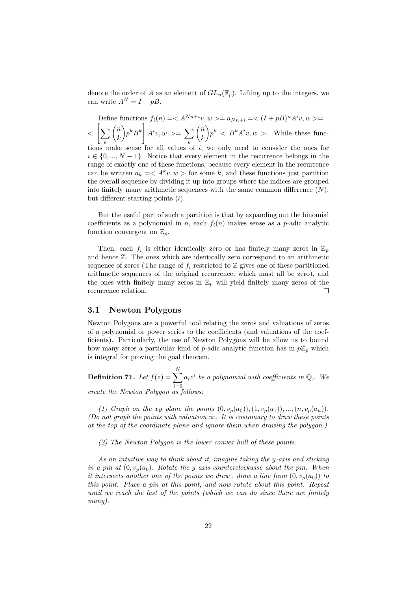denote the order of A as an element of  $GL_n(\mathbb{F}_p)$ . Lifting up to the integers, we can write  $A^N = I + pB$ .

Define functions 
$$
f_i(n) = \langle A^{Nn+i}v, w \rangle = a_{Nn+i} = \langle (I + pB)^n A^i v, w \rangle =
$$
  

$$
\langle \left[ \sum_k {n \choose k} p^k B^k \right] A^i v, w \rangle = \sum_k {n \choose k} p^k \langle B^k A^i v, w \rangle. \text{ While these func-
$$

tions make sense for all values of i, we only need to consider the ones for  $i \in \{0, ..., N-1\}$ . Notice that every element in the recurrence belongs in the range of exactly one of these functions, because every element in the recurrence can be written  $a_k = \langle A^k v, w \rangle$  for some k, and these functions just partition the overall sequence by dividing it up into groups where the indices are grouped into finitely many arithmetic sequences with the same common difference  $(N)$ , but different starting points  $(i)$ .

But the useful part of such a partition is that by expanding out the binomial coefficients as a polynomial in n, each  $f_i(n)$  makes sense as a p-adic analytic function convergent on  $\mathbb{Z}_p$ .

Then, each  $f_i$  is either identically zero or has finitely many zeros in  $\mathbb{Z}_p$ and hence Z. The ones which are identically zero correspond to an arithmetic sequence of zeros (The range of  $f_i$  restricted to  $\mathbb Z$  gives one of these partitioned arithmetic sequences of the original recurrence, which must all be zero), and the ones with finitely many zeros in  $\mathbb{Z}_p$  will yield finitely many zeros of the recurrence relation.  $\Box$ 

#### 3.1 Newton Polygons

Newton Polygons are a powerful tool relating the zeros and valuations of zeros of a polynomial or power series to the coefficients (and valuations of the coefficients). Particularly, the use of Newton Polygons will be allow us to bound how many zeros a particular kind of p-adic analytic function has in  $p\mathbb{Z}_p$  which is integral for proving the goal theorem.

**Definition 71.** Let  $f(z) = \sum_{n=1}^{N}$  $i=0$  $a_i z^i$  be a polynomial with coefficients in  $\mathbb{Q}_1$ . We create the Newton Polygon as follows:

(1) Graph on the xy plane the points  $(0, v_p(a_0)), (1, v_p(a_1)), ..., (n, v_p(a_n)).$ (Do not graph the points with valuation  $\infty$ . It is customary to draw these points at the top of the coordinate plane and ignore them when drawing the polygon.)

(2) The Newton Polygon is the lower convex hull of these points.

As an intuitive way to think about it, imagine taking the y-axis and sticking in a pin at  $(0, v_p(a_0))$ . Rotate the y axis counterclockwise about the pin. When it intersects another one of the points we drew, draw a line from  $(0, v_p(a_0))$  to this point. Place a pin at this point, and now rotate about this point. Repeat until we reach the last of the points (which we can do since there are finitely many).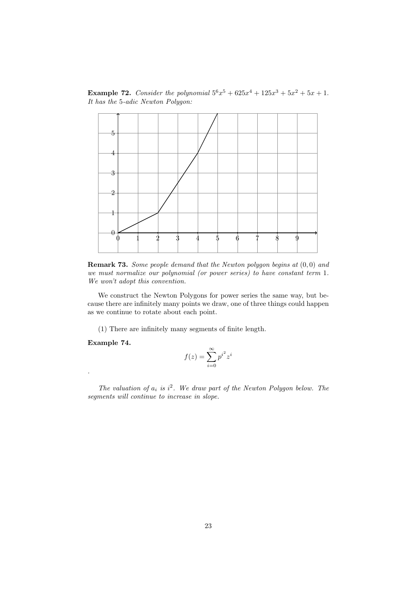**Example 72.** Consider the polynomial  $5^6x^5 + 625x^4 + 125x^3 + 5x^2 + 5x + 1$ . It has the 5-adic Newton Polygon:



**Remark 73.** Some people demand that the Newton polygon begins at  $(0,0)$  and we must normalize our polynomial (or power series) to have constant term 1. We won't adopt this convention.

We construct the Newton Polygons for power series the same way, but because there are infinitely many points we draw, one of three things could happen as we continue to rotate about each point.

(1) There are infinitely many segments of finite length.

Example 74.

.

$$
f(z) = \sum_{i=0}^{\infty} p^{i^2} z^i
$$

The valuation of  $a_i$  is  $i^2$ . We draw part of the Newton Polygon below. The segments will continue to increase in slope.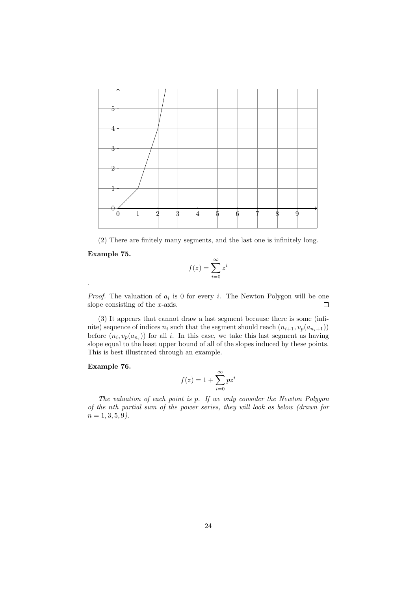

(2) There are finitely many segments, and the last one is infinitely long.

#### Example 75.

$$
f(z) = \sum_{i=0}^{\infty} z^i
$$

*Proof.* The valuation of  $a_i$  is 0 for every i. The Newton Polygon will be one slope consisting of the x-axis.  $\Box$ 

(3) It appears that cannot draw a last segment because there is some (infinite) sequence of indices  $n_i$  such that the segment should reach  $(n_{i+1}, v_p(a_{n_i+1}))$ before  $(n_i, v_p(a_{n_i}))$  for all i. In this case, we take this last segment as having slope equal to the least upper bound of all of the slopes induced by these points. This is best illustrated through an example.

#### Example 76.

$$
f(z) = 1 + \sum_{i=0}^{\infty} p z^i
$$

The valuation of each point is p. If we only consider the Newton Polygon of the nth partial sum of the power series, they will look as below (drawn for  $n = 1, 3, 5, 9$ .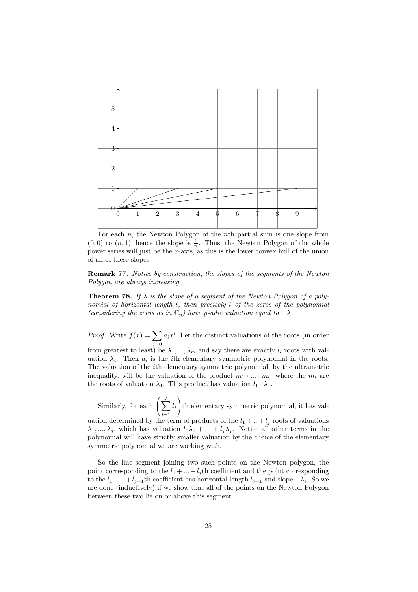

For each  $n$ , the Newton Polygon of the  $n$ <sup>th</sup> partial sum is one slope from  $(0,0)$  to  $(n,1)$ , hence the slope is  $\frac{1}{n}$ . Thus, the Newton Polygon of the whole power series will just be the x-axis, as this is the lower convex hull of the union of all of these slopes.

Remark 77. Notice by construction, the slopes of the segments of the Newton Polygon are always increasing.

**Theorem 78.** If  $\lambda$  is the slope of a segment of the Newton Polygon of a polynomial of horizontal length l, then precisely l of the zeros of the polynomial (considering the zeros as in  $\mathbb{C}_p$ ) have p-adic valuation equal to  $-\lambda$ .

*Proof.* Write  $f(x) = \sum$  $i=0$  $a_i x^i$ . Let the distinct valuations of the roots (in order

from greatest to least) be  $\lambda_1, ..., \lambda_m$  and say there are exactly  $l_i$  roots with valuation  $\lambda_i$ . Then  $a_i$  is the *i*th elementary symmetric polynomial in the roots. The valuation of the ith elementary symmetric polynomial, by the ultrametric inequality, will be the valuation of the product  $m_1 \cdot ... \cdot m_{l_1}$  where the  $m_i$  are the roots of valuation  $\lambda_1$ . This product has valuation  $l_1 \cdot \lambda_1$ .

Similarly, for each  $\left(\sum_{i=1}^{j} x_i\right)$  $i=1$  $l_i$  $\setminus$ th elementary symmetric polynomial, it has valuation determined by the term of products of the  $l_1 + ... + l_j$  roots of valuations  $\lambda_1, ..., \lambda_j$ , which has valuation  $l_1\lambda_1 + ... + l_j\lambda_j$ . Notice all other terms in the polynomial will have strictly smaller valuation by the choice of the elementary symmetric polynomial we are working with.

So the line segment joining two such points on the Newton polygon, the point corresponding to the  $l_1 + ... + l_j$  th coefficient and the point corresponding to the  $l_1 + ... + l_{j+1}$ th coefficient has horizontal length  $l_{j+1}$  and slope  $-\lambda_i$ . So we are done (inductively) if we show that all of the points on the Newton Polygon between these two lie on or above this segment.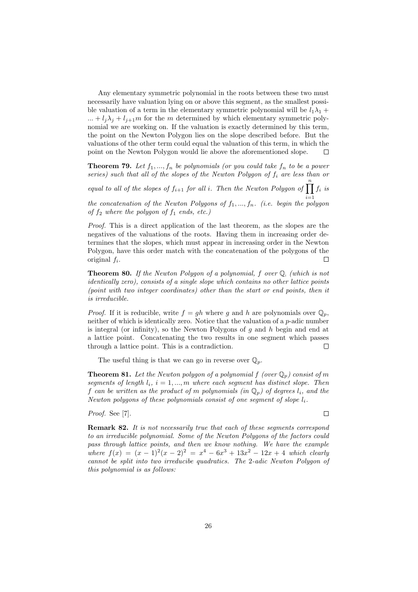Any elementary symmetric polynomial in the roots between these two must necessarily have valuation lying on or above this segment, as the smallest possible valuation of a term in the elementary symmetric polynomial will be  $l_1\lambda_1$  + ... +  $l_i\lambda_j + l_{j+1}m$  for the m determined by which elementary symmetric polynomial we are working on. If the valuation is exactly determined by this term, the point on the Newton Polygon lies on the slope described before. But the valuations of the other term could equal the valuation of this term, in which the point on the Newton Polygon would lie above the aforementioned slope. П

**Theorem 79.** Let  $f_1, ..., f_n$  be polynomials (or you could take  $f_n$  to be a power series) such that all of the slopes of the Newton Polygon of  $f_i$  are less than or equal to all of the slopes of  $f_{i+1}$  for all i. Then the Newton Polygon of  $\prod_{i=1}^{n} f_i$  is

the concatenation of the Newton Polygons of  $f_1, ..., f_n$ . (i.e. begin the polygon of  $f_2$  where the polygon of  $f_1$  ends, etc.)

Proof. This is a direct application of the last theorem, as the slopes are the negatives of the valuations of the roots. Having them in increasing order determines that the slopes, which must appear in increasing order in the Newton Polygon, have this order match with the concatenation of the polygons of the original  $f_i$ . П

**Theorem 80.** If the Newton Polygon of a polynomial, f over  $\mathbb{Q}_p$  (which is not identically zero), consists of a single slope which contains no other lattice points (point with two integer coordinates) other than the start or end points, then it is irreducible.

*Proof.* If it is reducible, write  $f = gh$  where g and h are polynomials over  $\mathbb{Q}_p$ , neither of which is identically zero. Notice that the valuation of a *p*-adic number is integral (or infinity), so the Newton Polygons of q and  $h$  begin and end at a lattice point. Concatenating the two results in one segment which passes through a lattice point. This is a contradiction.  $\Box$ 

The useful thing is that we can go in reverse over  $\mathbb{Q}_p$ .

**Theorem 81.** Let the Newton polygon of a polynomial f (over  $\mathbb{Q}_p$ ) consist of m segments of length  $l_i$ ,  $i = 1, ..., m$  where each segment has distinct slope. Then f can be written as the product of m polynomials (in  $\mathbb{Q}_p$ ) of degrees  $l_i$ , and the Newton polygons of these polynomials consist of one segment of slope  $l_i$ .

Proof. See [7].

**Remark 82.** It is not necessarily true that each of these segments correspond to an irreducible polynomial. Some of the Newton Polygons of the factors could pass through lattice points, and then we know nothing. We have the example where  $f(x) = (x - 1)^2(x - 2)^2 = x^4 - 6x^3 + 13x^2 - 12x + 4$  which clearly cannot be split into two irreducibe quadratics. The 2-adic Newton Polygon of this polynomial is as follows:

 $\Box$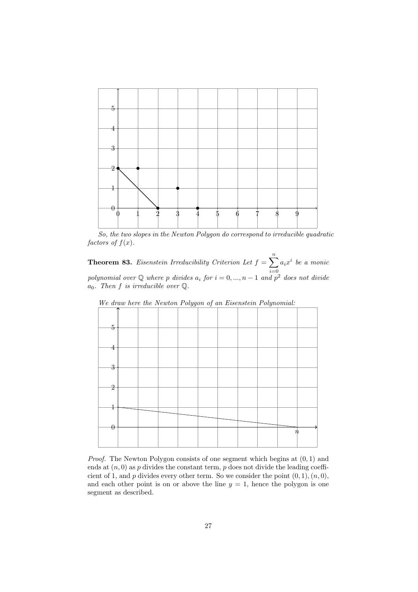

So, the two slopes in the Newton Polygon do correspond to irreducible quadratic factors of  $f(x)$ .

**Theorem 83.** Eisenstein Irreducibility Criterion Let  $f = \sum_{n=1}^{\infty}$  $i=0$  $a_i x^i$  be a monic polynomial over  $\mathbb Q$  where p divides  $a_i$  for  $i = 0, ..., n - 1$  and  $p^2$  does not divide  $a_0$ . Then f is irreducible over  $\mathbb Q$ .



Proof. The Newton Polygon consists of one segment which begins at  $(0, 1)$  and ends at  $(n, 0)$  as p divides the constant term, p does not divide the leading coefficient of 1, and  $p$  divides every other term. So we consider the point  $(0, 1), (n, 0)$ , and each other point is on or above the line  $y = 1$ , hence the polygon is one segment as described.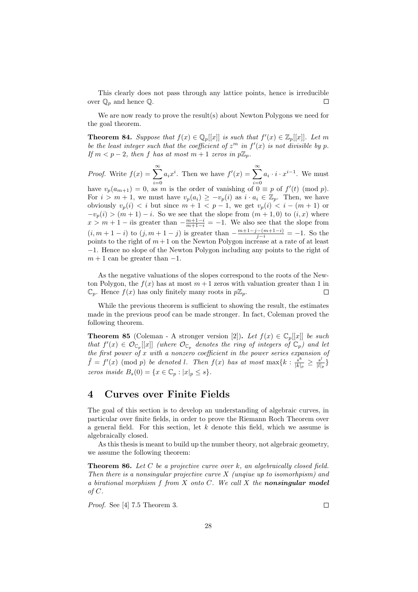This clearly does not pass through any lattice points, hence is irreducible over  $\mathbb{Q}_p$  and hence  $\mathbb{Q}$ . П

We are now ready to prove the result(s) about Newton Polygons we need for the goal theorem.

**Theorem 84.** Suppose that  $f(x) \in \mathbb{Q}_p[[x]]$  is such that  $f'(x) \in \mathbb{Z}_p[[x]]$ . Let m be the least integer such that the coefficient of  $z^m$  in  $f'(x)$  is not divisible by p. If  $m < p-2$ , then f has at most  $m+1$  zeros in  $p\mathbb{Z}_p$ .

*Proof.* Write  $f(x) = \sum_{n=0}^{\infty}$  $i=0$  $a_i x^i$ . Then we have  $f'(x) = \sum_{n=1}^{\infty}$  $i=0$  $a_i \cdot i \cdot x^{i-1}$ . We must have  $v_p(a_{m+1}) = 0$ , as m is the order of vanishing of  $0 \equiv p$  of  $f'(t) \pmod{p}$ . For  $i > m + 1$ , we must have  $v_p(a_i) \geq -v_p(i)$  as  $i \cdot a_i \in \mathbb{Z}_p$ . Then, we have obviously  $v_p(i) < i$  but since  $m + 1 < p - 1$ , we get  $v_p(i) < i - (m + 1)$  or  $-v_p(i) > (m+1)-i$ . So we see that the slope from  $(m+1,0)$  to  $(i, x)$  where  $x > m + 1 - i$  is greater than  $-\frac{m+1-i}{m+1-i} = -1$ . We also see that the slope from  $(i, m + 1 - i)$  to  $(j, m + 1 - j)$  is greater than  $-\frac{m+1-j-(m+1-i)}{j-i} = -1$ . So the points to the right of  $m+1$  on the Newton Polygon increase at a rate of at least −1. Hence no slope of the Newton Polygon including any points to the right of  $m + 1$  can be greater than  $-1$ .

As the negative valuations of the slopes correspond to the roots of the Newton Polygon, the  $f(x)$  has at most  $m+1$  zeros with valuation greater than 1 in  $\mathbb{C}_n$ . Hence  $f(x)$  has only finitely many roots in  $p\mathbb{Z}_n$ .  $\Box$ 

While the previous theorem is sufficient to showing the result, the estimates made in the previous proof can be made stronger. In fact, Coleman proved the following theorem.

**Theorem 85** (Coleman - A stronger version [2]). Let  $f(x) \in \mathbb{C}_p[[x]]$  be such that  $f'(x) \in \mathcal{O}_{\mathbb{C}_p}[[x]]$  (where  $\mathcal{O}_{\mathbb{C}_p}$  denotes the ring of integers of  $\mathbb{C}_p$ ) and let the first power of x with a nonzero coefficient in the power series expansion of  $\tilde{f} = f'(x) \pmod{p}$  be denoted l. Then  $f(x)$  has at most  $\max\{k : \frac{s^k}{b\}}$  $\frac{s^k}{|k|_p} \geq \frac{s^l}{|l|_p}$  $\frac{s^{\epsilon}}{|l|_p}$ zeros inside  $B_s(0) = \{x \in \mathbb{C}_p : |x|_p \leq s\}.$ 

## 4 Curves over Finite Fields

The goal of this section is to develop an understanding of algebraic curves, in particular over finite fields, in order to prove the Riemann Roch Theorem over a general field. For this section, let  $k$  denote this field, which we assume is algebraically closed.

As this thesis is meant to build up the number theory, not algebraic geometry, we assume the following theorem:

**Theorem 86.** Let C be a projective curve over k, an algebraically closed field. Then there is a nonsingular projective curve  $X$  (ungiue up to isomorhpism) and a birational morphism  $f$  from  $X$  onto  $C$ . We call  $X$  the nonsingular model of C.

Proof. See [4] 7.5 Theorem 3.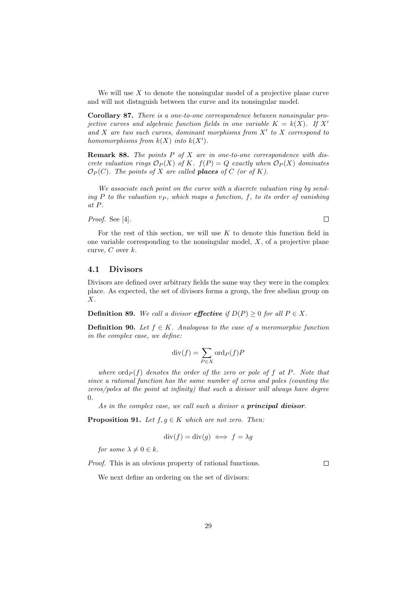We will use  $X$  to denote the nonsingular model of a projective plane curve and will not distnguish between the curve and its nonsingular model.

Corollary 87. There is a one-to-one correspondence between nonsingular projective curves and algebraic function fields in one variable  $K = k(X)$ . If X' and  $X$  are two such curves, dominant morphisms from  $X'$  to  $X$  correspond to homomorphisms from  $k(X)$  into  $k(X')$ .

Remark 88. The points P of X are in one-to-one correspondence with discrete valuation rings  $\mathcal{O}_P(X)$  of K.  $f(P) = Q$  exactly when  $\mathcal{O}_P(X)$  dominates  $\mathcal{O}_P(C)$ . The points of X are called **places** of C (or of K).

We associate each point on the curve with a discrete valuation ring by sending P to the valuation  $v_P$ , which maps a function, f, to its order of vanishing at P.

Proof. See [4].

 $\Box$ 

For the rest of this section, we will use  $K$  to denote this function field in one variable corresponding to the nonsingular model,  $X$ , of a projective plane curve,  $C$  over  $k$ .

#### 4.1 Divisors

Divisors are defined over arbitrary fields the same way they were in the complex place. As expected, the set of divisors forms a group, the free abelian group on X.

**Definition 89.** We call a divisor effective if  $D(P) \geq 0$  for all  $P \in X$ .

**Definition 90.** Let  $f \in K$ . Analogous to the case of a meromorphic function in the complex case, we define:

$$
\operatorname{div}(f) = \sum_{P \in X} \operatorname{ord}_P(f) P
$$

where  $\text{ord}_P (f)$  denotes the order of the zero or pole of f at P. Note that since a rational function has the same number of zeros and poles (counting the zeros/poles at the point at infinity) that such a divisor will always have degree  $\theta$ .

As in the complex case, we call such a divisor a **principal divisor**.

**Proposition 91.** Let  $f, g \in K$  which are not zero. Then:

$$
\operatorname{div}(f) = \operatorname{div}(g) \iff f = \lambda g
$$

for some  $\lambda \neq 0 \in k$ .

Proof. This is an obvious property of rational functions.

 $\Box$ 

We next define an ordering on the set of divisors: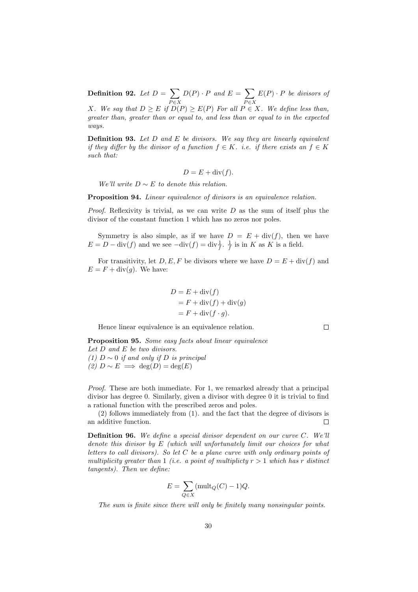Definition 92. Let  $D = \sum$  $P \in X$  $D(P) \cdot P$  and  $E = \sum$  $P \in X$  $E(P) \cdot P$  be divisors of X. We say that  $D \geq E$  if  $D(P) \geq E(P)$  For all  $P \in X$ . We define less than, greater than, greater than or equal to, and less than or equal to in the expected ways.

**Definition 93.** Let  $D$  and  $E$  be divisors. We say they are linearly equivalent if they differ by the divisor of a function  $f \in K$ . i.e. if there exists an  $f \in K$ such that:

$$
D = E + \operatorname{div}(f).
$$

We'll write  $D \sim E$  to denote this relation.

**Proposition 94.** Linear equivalence of divisors is an equivalence relation.

*Proof.* Reflexivity is trivial, as we can write  $D$  as the sum of itself plus the divisor of the constant function 1 which has no zeros nor poles.

Symmetry is also simple, as if we have  $D = E + \text{div}(f)$ , then we have  $E = D - \text{div}(f)$  and we see  $-\text{div}(f) = \text{div}\frac{1}{f}$ .  $\frac{1}{f}$  is in K as K is a field.

For transitivity, let  $D, E, F$  be divisors where we have  $D = E + \text{div}(f)$  and  $E = F + \text{div}(g)$ . We have:

$$
D = E + \text{div}(f)
$$
  
= F + \text{div}(f) + \text{div}(g)  
= F + \text{div}(f \cdot g).

Hence linear equivalence is an equivalence relation.

 $\Box$ 

Proposition 95. Some easy facts about linear equivalence Let D and E be two divisors. (1)  $D \sim 0$  if and only if D is principal (2)  $D \sim E \implies \deg(D) = \deg(E)$ 

Proof. These are both immediate. For 1, we remarked already that a principal divisor has degree 0. Similarly, given a divisor with degree 0 it is trivial to find a rational function with the prescribed zeros and poles.

(2) follows immediately from (1). and the fact that the degree of divisors is an additive function.  $\Box$ 

**Definition 96.** We define a special divisor dependent on our curve  $C$ . We'll denote this divisor by E (which will unfortunately limit our choices for what letters to call divisors). So let  $C$  be a plane curve with only ordinary points of multiplicity greater than 1 (i.e. a point of multiplicty  $r > 1$  which has r distinct tangents). Then we define:

$$
E = \sum_{Q \in X} (\text{mult}_Q(C) - 1)Q.
$$

The sum is finite since there will only be finitely many nonsingular points.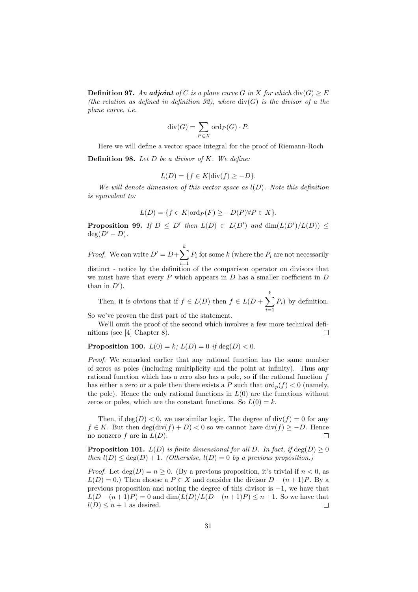**Definition 97.** An adjoint of C is a plane curve G in X for which  $\text{div}(G) \geq E$ (the relation as defined in definition 92), where  $div(G)$  is the divisor of a the plane curve, i.e.

$$
\operatorname{div}(G) = \sum_{P \in X} \operatorname{ord}_P(G) \cdot P.
$$

Here we will define a vector space integral for the proof of Riemann-Roch **Definition 98.** Let  $D$  be a divisor of  $K$ . We define:

$$
L(D) = \{ f \in K | \text{div}(f) \ge -D \}.
$$

We will denote dimension of this vector space as  $l(D)$ . Note this definition is equivalent to:

$$
L(D) = \{ f \in K | \text{ord}_P(F) \ge -D(P) \forall P \in X \}.
$$

**Proposition 99.** If  $D \leq D'$  then  $L(D) \subset L(D')$  and  $\dim(L(D')/L(D)) \leq$  $deg(D' - D)$ .

*Proof.* We can write  $D' = D + \sum_{k=1}^{k}$  $i=1$  $P_i$  for some k (where the  $P_i$  are not necessarily distinct - notice by the definition of the comparison operator on divisors that

we must have that every  $P$  which appears in  $D$  has a smaller coefficient in  $D$ than in  $D'$ ).

Then, it is obvious that if  $f \in L(D)$  then  $f \in L(D + \sum_{i=1}^{k}$  $i=1$  $P_i$ ) by definition. So we've proven the first part of the statement.

We'll omit the proof of the second which involves a few more technical definitions (see [4] Chapter 8). П

#### **Proposition 100.**  $L(0) = k$ ;  $L(D) = 0$  if  $deg(D) < 0$ .

Proof. We remarked earlier that any rational function has the same number of zeros as poles (including multiplicity and the point at infinity). Thus any rational function which has a zero also has a pole, so if the rational function f has either a zero or a pole then there exists a P such that  $\text{ord}_p(f) < 0$  (namely, the pole). Hence the only rational functions in  $L(0)$  are the functions without zeros or poles, which are the constant functions. So  $L(0) = k$ .

Then, if  $deg(D) < 0$ , we use similar logic. The degree of  $div(f) = 0$  for any  $f \in K$ . But then  $\deg(\text{div}(f) + D) < 0$  so we cannot have  $\text{div}(f) \ge -D$ . Hence no nonzero  $f$  are in  $L(D)$ .  $\Box$ 

**Proposition 101.**  $L(D)$  is finite dimensional for all D. In fact, if  $\deg(D) \geq 0$ then  $l(D) \leq deg(D) + 1$ . (Otherwise,  $l(D) = 0$  by a previous proposition.)

*Proof.* Let  $deg(D) = n \geq 0$ . (By a previous proposition, it's trivial if  $n < 0$ , as  $L(D) = 0.$ ) Then choose a  $P \in X$  and consider the divisor  $D - (n+1)P$ . By a previous proposition and noting the degree of this divisor is −1, we have that  $L(D - (n+1)P) = 0$  and  $\dim(L(D)/L(D - (n+1)P) \leq n+1$ . So we have that  $l(D) \leq n+1$  as desired.  $\Box$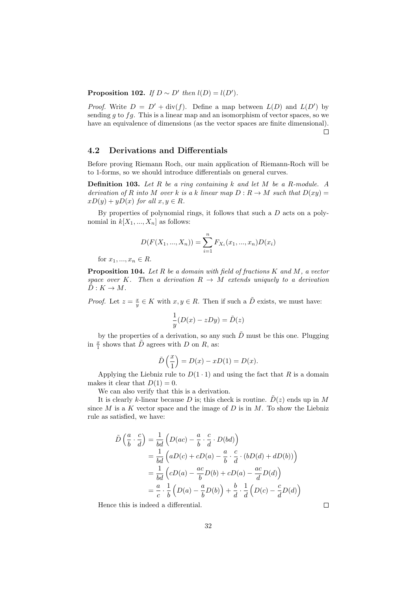**Proposition 102.** If  $D \sim D'$  then  $l(D) = l(D')$ .

*Proof.* Write  $D = D' + \text{div}(f)$ . Define a map between  $L(D)$  and  $L(D')$  by sending  $g$  to  $fg$ . This is a linear map and an isomorphism of vector spaces, so we have an equivalence of dimensions (as the vector spaces are finite dimensional).  $\Box$ 

### 4.2 Derivations and Differentials

Before proving Riemann Roch, our main application of Riemann-Roch will be to 1-forms, so we should introduce differentials on general curves.

**Definition 103.** Let  $R$  be a ring containing  $k$  and let  $M$  be a  $R$ -module. A derivation of R into M over k is a k linear map  $D: R \to M$  such that  $D(xy) =$  $xD(y) + yD(x)$  for all  $x, y \in R$ .

By properties of polynomial rings, it follows that such a  $D$  acts on a polynomial in  $k[X_1, ..., X_n]$  as follows:

$$
D(F(X_1, ..., X_n)) = \sum_{i=1}^n F_{X_i}(x_1, ..., x_n)D(x_i)
$$

for  $x_1, ..., x_n \in R$ .

**Proposition 104.** Let  $R$  be a domain with field of fractions  $K$  and  $M$ , a vector space over K. Then a derivation  $R \to M$  extends uniquely to a derivation  $\tilde{D}: K \to M$ .

*Proof.* Let  $z = \frac{x}{y} \in K$  with  $x, y \in R$ . Then if such a  $\tilde{D}$  exists, we must have:

$$
\frac{1}{y}(D(x) - zDy) = \tilde{D}(z)
$$

by the properties of a derivation, so any such  $\tilde{D}$  must be this one. Plugging in  $\frac{x}{1}$  shows that  $\tilde{D}$  agrees with D on R, as:

$$
\tilde{D}\left(\frac{x}{1}\right) = D(x) - xD(1) = D(x).
$$

Applying the Liebniz rule to  $D(1\cdot 1)$  and using the fact that R is a domain makes it clear that  $D(1) = 0$ .

We can also verify that this is a derivation.

It is clearly k-linear because D is; this check is routine.  $\tilde{D}(z)$  ends up in M since  $M$  is a  $K$  vector space and the image of  $D$  is in  $M$ . To show the Liebniz rule as satisfied, we have:

$$
\tilde{D}\left(\frac{a}{b}\cdot\frac{c}{d}\right) = \frac{1}{bd}\left(D(ac) - \frac{a}{b}\cdot\frac{c}{d}\cdot D(bd)\right)
$$
\n
$$
= \frac{1}{bd}\left(aD(c) + cD(a) - \frac{a}{b}\cdot\frac{c}{d}\cdot(bD(d) + dD(b))\right)
$$
\n
$$
= \frac{1}{bd}\left(cD(a) - \frac{ac}{b}D(b) + cD(a) - \frac{ac}{d}D(d)\right)
$$
\n
$$
= \frac{a}{c}\cdot\frac{1}{b}\left(D(a) - \frac{a}{b}D(b)\right) + \frac{b}{d}\cdot\frac{1}{d}\left(D(c) - \frac{c}{d}D(d)\right)
$$

Hence this is indeed a differential.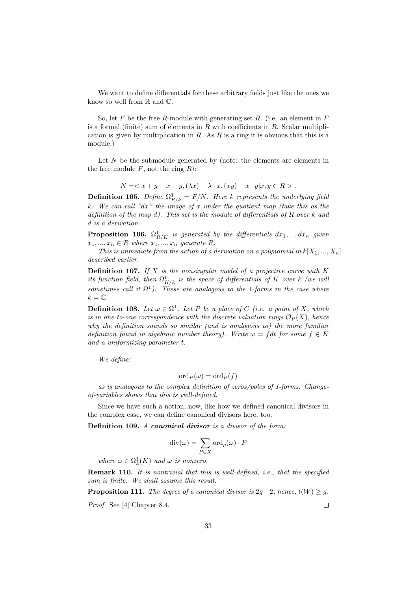We want to define differentials for these arbitrary fields just like the ones we know so well from  $\mathbb R$  and  $\mathbb C$ .

So, let F be the free R-module with generating set R. (i.e. an element in  $F$ is a formal (finite) sum of elements in  $R$  with coefficients in  $R$ . Scalar multiplication is given by multiplication in  $R$ . As  $R$  is a ring it is obvious that this is a module.)

Let  $N$  be the submodule generated by (note: the elements are elements in the free module  $F$ , not the ring  $R$ ):

$$
N = \langle x + y - x - y, (\lambda x) - \lambda \cdot x, (xy) - x \cdot y | x, y \in R \rangle.
$$

**Definition 105.** Define  $\Omega_{R/k}^1 = F/N$ . Here k represents the underlying field k. We can call "dx" the image of x under the quotient map (take this as the definition of the map d). This set is the module of differentials of  $R$  over  $k$  and d is a derivation.

**Proposition 106.**  $\Omega^1_{R/K}$  is generated by the differentials  $dx_1, ..., dx_n$  given  $x_1, ..., x_n \in R$  where  $x_1, ..., x_n$  generate R.

This is immediate from the action of a derivation on a polynomial in  $k[X_1, ..., X_n]$ described earlier.

**Definition 107.** If  $X$  is the nonsingular model of a projective curve with  $K$ its function field, then  $\Omega^1_{K/k}$  is the space of differentials of K over k (we will sometimes call it  $\Omega^1$ ). These are analogous to the 1-forms in the case where  $k = \mathbb{C}$ .

**Definition 108.** Let  $\omega \in \Omega^1$ . Let P be a place of C (i.e. a point of X, which is in one-to-one correspondence with the discrete valuation rings  $\mathcal{O}_P(X)$ , hence why the definition sounds so similar (and is analogous to) the more familiar definition found in algebraic number theory). Write  $\omega = f dt$  for some  $f \in K$ and a uniformizing parameter t.

We define:

$$
\mathrm{ord}_P(\omega)=\mathrm{ord}_P(f)
$$

as is analogous to the complex definition of zeros/poles of 1-forms. Changeof-variables shows that this is well-defined.

Since we have such a notion, now, like how we defined canonical divisors in the complex case, we can define canonical divisors here, too.

Definition 109. A canonical divisor is a divisor of the form:

$$
\mathrm{div}(\omega) = \sum_{P \in X} \mathrm{ord}_p(\omega) \cdot P
$$

where  $\omega \in \Omega^1_k(K)$  and  $\omega$  is nonzero.

Remark 110. It is nontrivial that this is well-defined, i.e., that the specified sum is finite. We shall assume this result.

**Proposition 111.** The degree of a canonical divisor is  $2g-2$ , hence,  $l(W) \geq g$ . Proof. See [4] Chapter 8.4.  $\Box$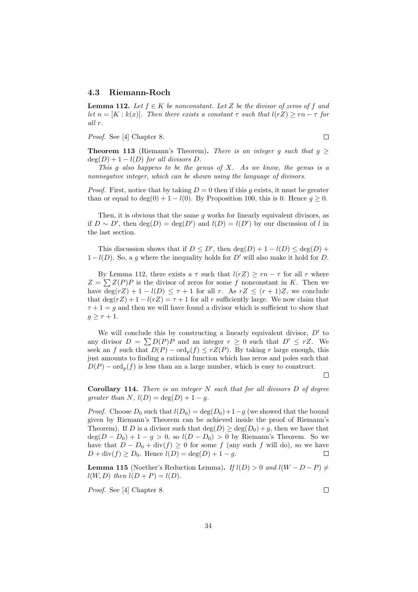#### 4.3 Riemann-Roch

**Lemma 112.** Let  $f \in K$  be nonconstant. Let Z be the divisor of zeros of f and let  $n = [K : k(x)]$ . Then there exists a constant  $\tau$  such that  $l(rZ) \geq rn - \tau$  for all r.

Proof. See [4] Chapter 8.

 $\Box$ 

**Theorem 113** (Riemann's Theorem). There is an integer q such that  $q >$  $deg(D) + 1 - l(D)$  for all divisors D.

This g also happens to be the genus of  $X$ . As we know, the genus is a nonnegative integer, which can be shown using the language of divisors.

*Proof.* First, notice that by taking  $D = 0$  then if this g exists, it must be greater than or equal to deg(0) + 1 –  $l(0)$ . By Proposition 100, this is 0. Hence  $q \ge 0$ .

Then, it is obvious that the same  $g$  works for linearly equivalent divisors, as if  $D \sim D'$ , then  $deg(D) = deg(D')$  and  $l(D) = l(D')$  by our discussion of l in the last section.

This discussion shows that if  $D \le D'$ , then  $\deg(D) + 1 - l(D) \le \deg(D) +$  $1 - l(D)$ . So, a g where the inequality holds for D' will also make it hold for D.

By Lemma 112, there exists a  $\tau$  such that  $l(rZ) \geq rn - \tau$  for all r where  $Z = \sum Z(P)P$  is the divisor of zeros for some f nonconstant in K. Then we have  $\deg(rZ) + 1 - l(D) \leq \tau + 1$  for all r. As  $rZ \leq (r + 1)Z$ , we conclude that  $\deg(rZ) + 1 - l(rZ) = \tau + 1$  for all r sufficiently large. We now claim that  $\tau + 1 = q$  and then we will have found a divisor which is sufficient to show that  $g \geq \tau + 1$ .

We will conclude this by constructing a linearly equivalent divisor,  $D'$  to any divisor  $D = \sum D(P)P$  and an integer  $r \geq 0$  such that  $D' \leq rZ$ . We seek an f such that  $D(P) - \text{ord}_p(f) \leq rZ(P)$ . By taking r large enough, this just amounts to finding a rational function which has zeros and poles such that  $D(P) - \text{ord}_p(f)$  is less than an a large number, which is easy to construct.

 $\Box$ 

**Corollary 114.** There is an integer  $N$  such that for all divisors  $D$  of degree qreater than  $N$ ,  $l(D) = \deg(D) + 1 - q$ .

*Proof.* Choose  $D_0$  such that  $l(D_0) = \deg(D_0) + 1 - q$  (we showed that the bound given by Riemann's Theorem can be achieved inside the proof of Riemann's Theorem). If D is a divisor such that  $\deg(D) \geq \deg(D_0) + q$ , then we have that  $deg(D - D_0) + 1 - g > 0$ , so  $l(D - D_0) > 0$  by Riemann's Theorem. So we have that  $D - D_0 + \text{div}(f) \ge 0$  for some f (any such f will do), so we have  $D + \text{div}(f) \ge D_0$ . Hence  $l(D) = \text{deg}(D) + 1 - q$ . П

**Lemma 115** (Noether's Reduction Lemma). If  $l(D) > 0$  and  $l(W - D - P) \neq$  $l(W, D)$  then  $l(D + P) = l(D)$ .

Proof. See [4] Chapter 8.

 $\Box$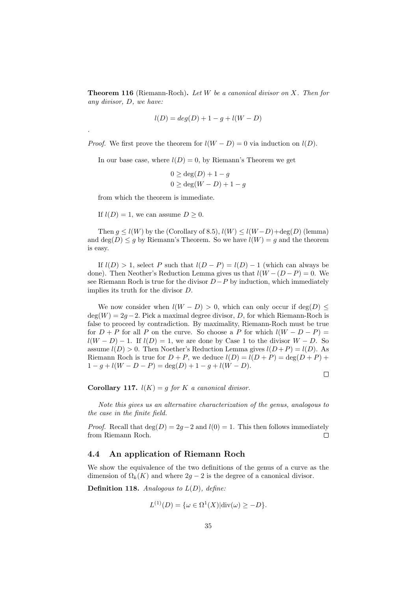**Theorem 116** (Riemann-Roch). Let  $W$  be a canonical divisor on  $X$ . Then for any divisor, D, we have:

$$
l(D) = deg(D) + 1 - g + l(W - D)
$$

*Proof.* We first prove the theorem for  $l(W - D) = 0$  via induction on  $l(D)$ .

In our base case, where  $l(D) = 0$ , by Riemann's Theorem we get

$$
0 \ge \deg(D) + 1 - g
$$
  
 
$$
0 \ge \deg(W - D) + 1 - g
$$

from which the theorem is immediate.

If  $l(D) = 1$ , we can assume  $D \geq 0$ .

.

Then  $g \le l(W)$  by the (Corollary of 8.5),  $l(W) \le l(W - D) + \deg(D)$  (lemma) and  $\deg(D) \leq g$  by Riemann's Theorem. So we have  $l(W) = g$  and the theorem is easy.

If  $l(D) > 1$ , select P such that  $l(D - P) = l(D) - 1$  (which can always be done). Then Neother's Reduction Lemma gives us that  $l(W - (D - P) = 0$ . We see Riemann Roch is true for the divisor  $D-P$  by induction, which immediately implies its truth for the divisor D.

We now consider when  $l(W - D) > 0$ , which can only occur if deg(D)  $\leq$  $deg(W) = 2q - 2$ . Pick a maximal degree divisor, D, for which Riemann-Roch is false to proceed by contradiction. By maximality, Riemann-Roch must be true for  $D + P$  for all P on the curve. So choose a P for which  $l(W - D - P) =$  $l(W - D) - 1$ . If  $l(D) = 1$ , we are done by Case 1 to the divisor  $W - D$ . So assume  $l(D) > 0$ . Then Noether's Reduction Lemma gives  $l(D+P) = l(D)$ . As Riemann Roch is true for  $D + P$ , we deduce  $l(D) = l(D + P) = \deg(D + P) +$  $1 - q + l(W - D - P) = \deg(D) + 1 - q + l(W - D).$ 

 $\Box$ 

Corollary 117.  $l(K) = g$  for K a canonical divisor.

Note this gives us an alternative characterization of the genus, analogous to the case in the finite field.

*Proof.* Recall that  $deg(D) = 2g - 2$  and  $l(0) = 1$ . This then follows immediately from Riemann Roch.  $\Box$ 

#### 4.4 An application of Riemann Roch

We show the equivalence of the two definitions of the genus of a curve as the dimension of  $\Omega_k(K)$  and where  $2g - 2$  is the degree of a canonical divisor.

**Definition 118.** Analogous to  $L(D)$ , define:

$$
L^{(1)}(D) = \{\omega \in \Omega^1(X)|\text{div}(\omega) \ge -D\}.
$$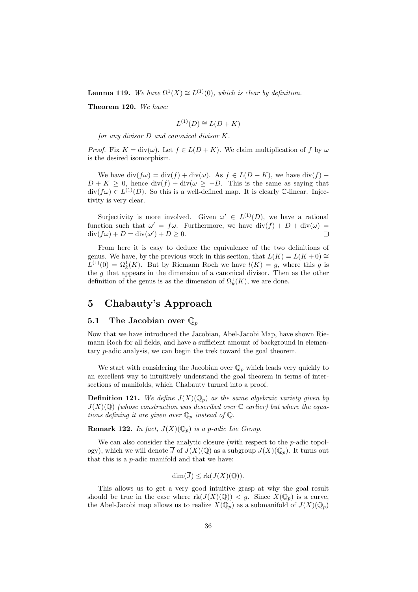**Lemma 119.** We have  $\Omega^1(X) \cong L^{(1)}(0)$ , which is clear by definition.

Theorem 120. We have:

$$
L^{(1)}(D) \cong L(D+K)
$$

for any divisor D and canonical divisor K.

*Proof.* Fix  $K = \text{div}(\omega)$ . Let  $f \in L(D + K)$ . We claim multiplication of f by  $\omega$ is the desired isomorphism.

We have  $\text{div}(f\omega) = \text{div}(f) + \text{div}(\omega)$ . As  $f \in L(D + K)$ , we have  $\text{div}(f)$  +  $D + K \geq 0$ , hence div(f) + div( $\omega \geq -D$ . This is the same as saying that  $\text{div}(f\omega) \in L^{(1)}(D)$ . So this is a well-defined map. It is clearly C-linear. Injectivity is very clear.

Surjectivity is more involved. Given  $\omega' \in L^{(1)}(D)$ , we have a rational function such that  $\omega' = f\omega$ . Furthermore, we have  $\text{div}(f) + D + \text{div}(\omega) =$  $\operatorname{div}(f\omega) + D = \operatorname{div}(\omega') + D \geq 0.$  $\Box$ 

From here it is easy to deduce the equivalence of the two definitions of genus. We have, by the previous work in this section, that  $L(K) = L(K+0) \approx$  $L^{(1)}(0) = \Omega_k^1(K)$ . But by Riemann Roch we have  $l(K) = g$ , where this g is the g that appears in the dimension of a canonical divisor. Then as the other definition of the genus is as the dimension of  $\Omega_k^1(K)$ , we are done.

# 5 Chabauty's Approach

#### 5.1 The Jacobian over  $\mathbb{Q}_p$

Now that we have introduced the Jacobian, Abel-Jacobi Map, have shown Riemann Roch for all fields, and have a sufficient amount of background in elementary p-adic analysis, we can begin the trek toward the goal theorem.

We start with considering the Jacobian over  $\mathbb{Q}_p$  which leads very quickly to an excellent way to intuitively understand the goal theorem in terms of intersections of manifolds, which Chabauty turned into a proof.

**Definition 121.** We define  $J(X)(\mathbb{Q}_p)$  as the same algebraic variety given by  $J(X)(\mathbb{Q})$  (whose construction was described over  $\mathbb{C}$  earlier) but where the equations defining it are given over  $\mathbb{Q}_p$  instead of  $\mathbb{Q}$ .

**Remark 122.** In fact,  $J(X)(\mathbb{Q}_p)$  is a p-adic Lie Group.

We can also consider the analytic closure (with respect to the p-adic topology), which we will denote  $\overline{J}$  of  $J(X)(\mathbb{Q})$  as a subgroup  $J(X)(\mathbb{Q}_n)$ . It turns out that this is a p-adic manifold and that we have:

$$
\dim(\overline{J}) \le \text{rk}(J(X)(\mathbb{Q})).
$$

This allows us to get a very good intuitive grasp at why the goal result should be true in the case where  $rk(J(X)(\mathbb{Q})) < g$ . Since  $X(\mathbb{Q}_p)$  is a curve, the Abel-Jacobi map allows us to realize  $X(\mathbb{Q}_p)$  as a submanifold of  $J(X)(\mathbb{Q}_p)$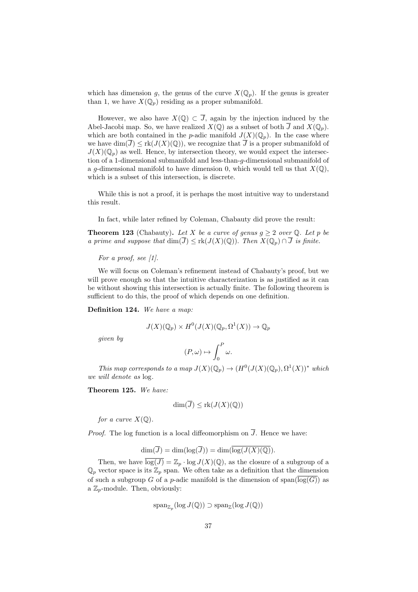which has dimension g, the genus of the curve  $X(\mathbb{Q}_p)$ . If the genus is greater than 1, we have  $X(\mathbb{Q}_p)$  residing as a proper submanifold.

However, we also have  $X(\mathbb{Q}) \subset \overline{J}$ , again by the injection induced by the Abel-Jacobi map. So, we have realized  $X(\mathbb{Q})$  as a subset of both  $\overline{J}$  and  $X(\mathbb{Q}_p)$ . which are both contained in the p-adic manifold  $J(X)(\mathbb{Q}_p)$ . In the case where we have  $\dim(\overline{J}) \leq \text{rk}(J(X)(\mathbb{Q}))$ , we recognize that  $\overline{J}$  is a proper submanifold of  $J(X)(\mathbb{Q}_p)$  as well. Hence, by intersection theory, we would expect the intersection of a 1-dimensional submanifold and less-than-g-dimensional submanifold of a g-dimensional manifold to have dimension 0, which would tell us that  $X(\mathbb{Q})$ , which is a subset of this intersection, is discrete.

While this is not a proof, it is perhaps the most intuitive way to understand this result.

In fact, while later refined by Coleman, Chabauty did prove the result:

**Theorem 123** (Chabauty). Let X be a curve of genus  $g \geq 2$  over Q. Let p be a prime and suppose that  $\dim(\overline{J}) \leq \text{rk}(J(X)(\mathbb{Q}))$ . Then  $X(\mathbb{Q}_p) \cap \overline{J}$  is finite.

For a proof, see  $[1]$ .

We will focus on Coleman's refinement instead of Chabauty's proof, but we will prove enough so that the intuitive characterization is as justified as it can be without showing this intersection is actually finite. The following theorem is sufficient to do this, the proof of which depends on one definition.

Definition 124. We have a map:

$$
J(X)(\mathbb{Q}_p) \times H^0(J(X)(\mathbb{Q}_p, \Omega^1(X)) \to \mathbb{Q}_p
$$

given by

$$
(P,\omega)\mapsto \int_0^P\omega.
$$

This map corresponds to a map  $J(X)(\mathbb{Q}_p) \to (H^0(J(X)(\mathbb{Q}_p), \Omega^1(X))^*$  which we will denote as log.

Theorem 125. We have:

$$
\dim(\overline{J}) \le \text{rk}(J(X)(\mathbb{Q}))
$$

for a curve  $X(\mathbb{Q})$ .

*Proof.* The log function is a local diffeomorphism on  $\overline{J}$ . Hence we have:

$$
\dim(\overline{J}) = \dim(\log(\overline{J})) = \dim(\overline{\log(J(X)({\mathbb Q}))}.
$$

Then, we have  $\overline{\log(J)} = \mathbb{Z}_p \cdot \log J(X)(\mathbb{Q})$ , as the closure of a subgroup of a  $\mathbb{Q}_p$  vector space is its  $\mathbb{Z}_p$  span. We often take as a definition that the dimension of such a subgroup G of a p-adic manifold is the dimension of  $\text{span}(\overline{\log(G)})$  as a  $\mathbb{Z}_p$ -module. Then, obviously:

$$
\operatorname{span}_{\mathbb{Z}_p}(\log J(\mathbb{Q})) \supset \operatorname{span}_{\mathbb{Z}}(\log J(\mathbb{Q}))
$$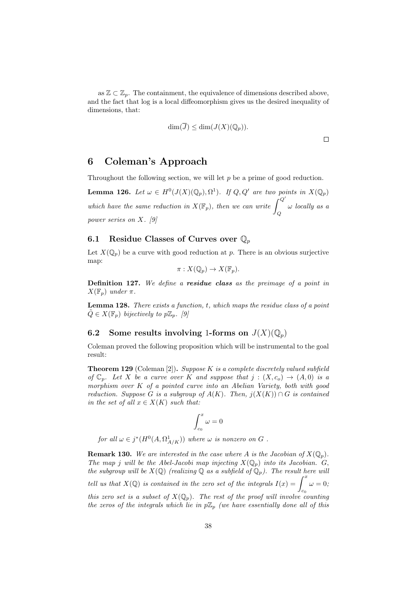as  $\mathbb{Z} \subset \mathbb{Z}_p$ . The containment, the equivalence of dimensions described above, and the fact that log is a local diffeomorphism gives us the desired inequality of dimensions, that:

$$
\dim(\overline{J}) \le \dim(J(X)(\mathbb{Q}_p)).
$$

## 6 Coleman's Approach

Throughout the following section, we will let  $p$  be a prime of good reduction.

**Lemma 126.** Let  $\omega \in H^0(J(X)(\mathbb{Q}_p), \Omega^1)$ . If  $Q, Q'$  are two points in  $X(\mathbb{Q}_p)$ which have the same reduction in  $X(\mathbb{F}_p)$ , then we can write  $\int_Q^{Q'}$ ω locally as a power series on X. [9]

#### 6.1 Residue Classes of Curves over  $\mathbb{Q}_p$

Let  $X(\mathbb{Q}_p)$  be a curve with good reduction at p. There is an obvious surjective map:

$$
\pi: X(\mathbb{Q}_p) \to X(\mathbb{F}_p).
$$

Definition 127. We define a residue class as the preimage of a point in  $X(\mathbb{F}_n)$  under  $\pi$ .

**Lemma 128.** There exists a function, t, which maps the residue class of a point  $Q \in X(\mathbb{F}_p)$  bijectively to  $p\mathbb{Z}_p$ . [9]

#### 6.2 Some results involving 1-forms on  $J(X)(\mathbb{Q}_p)$

Coleman proved the following proposition which will be instrumental to the goal result:

**Theorem 129** (Coleman [2]). Suppose K is a complete discretely valued subfield of  $\mathbb{C}_p$ . Let X be a curve over K and suppose that  $j:(X,c_o)\to (A,0)$  is a morphism over  $K$  of a pointed curve into an Abelian Variety, both with good reduction. Suppose G is a subgroup of  $A(K)$ . Then,  $j(X(K)) \cap G$  is contained in the set of all  $x \in X(K)$  such that:

$$
\int_{c_0}^x \omega = 0
$$

for all  $\omega \in j^*(H^0(A, \Omega^1_{A/K}))$  where  $\omega$  is nonzero on  $G$ .

**Remark 130.** We are interested in the case where A is the Jacobian of  $X(\mathbb{Q}_p)$ . The map j will be the Abel-Jacobi map injecting  $X(\mathbb{Q}_p)$  into its Jacobian. G, the subgroup will be  $X(\mathbb{Q})$  (realizing  $\mathbb{Q}$  as a subfield of  $\mathbb{Q}_p$ ). The result here will tell us that  $X(\mathbb{Q})$  is contained in the zero set of the integrals  $I(x) = \int^x$  $c_0$  $\omega = 0;$ this zero set is a subset of  $X(\mathbb{Q}_p)$ . The rest of the proof will involve counting the zeros of the integrals which lie in  $p\mathbb{Z}_p$  (we have essentially done all of this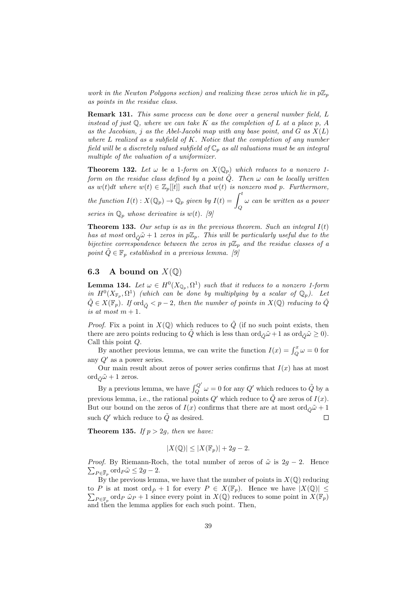work in the Newton Polygons section) and realizing these zeros which lie in  $p\mathbb{Z}_p$ as points in the residue class.

Remark 131. This same process can be done over a general number field, L instead of just  $\mathbb{Q}$ , where we can take K as the completion of L at a place p, A as the Jacobian, j as the Abel-Jacobi map with any base point, and  $G$  as  $X(L)$ where  $L$  realized as a subfield of  $K$ . Notice that the completion of any number field will be a discretely valued subfield of  $\mathbb{C}_p$  as all valuations must be an integral multiple of the valuation of a uniformizer.

**Theorem 132.** Let  $\omega$  be a 1-form on  $X(\mathbb{Q}_p)$  which reduces to a nonzero 1form on the residue class defined by a point  $\tilde{Q}$ . Then  $\omega$  can be locally written as  $w(t)dt$  where  $w(t) \in \mathbb{Z}_p[[t]]$  such that  $w(t)$  is nonzero mod p. Furthermore,

the function  $I(t)$  :  $X(\mathbb{Q}_p) \to \mathbb{Q}_p$  given by  $I(t) = \int_Q^t$ ω can be written as a power series in  $\mathbb{Q}_p$  whose derivative is  $w(t)$ . [9]

**Theorem 133.** Our setup is as in the previous theorem. Such an integral  $I(t)$ has at most ord $\tilde{\alpha} \tilde{\omega} + 1$  zeros in  $p\mathbb{Z}_p$ . This will be particularly useful due to the bijective correspondence between the zeros in  $p\mathbb{Z}_p$  and the residue classes of a point  $\tilde{Q} \in \mathbb{F}_p$  established in a previous lemma. [9]

#### 6.3 A bound on  $X(\mathbb{Q})$

**Lemma 134.** Let  $\omega \in H^0(X_{\mathbb{Q}_p}, \Omega^1)$  such that it reduces to a nonzero 1-form in  $H^0(X_{\mathbb{F}_p}, \Omega^1)$  (which can be done by multiplying by a scalar of  $\mathbb{Q}_p$ ). Let  $\tilde{Q} \in X(\mathbb{F}_p)$ . If ord $\tilde{Q} \leq p-2$ , then the number of points in  $X(\mathbb{Q})$  reducing to  $\tilde{Q}$ is at most  $m + 1$ .

*Proof.* Fix a point in  $X(\mathbb{Q})$  which reduces to  $\tilde{Q}$  (if no such point exists, then there are zero points reducing to  $\tilde{Q}$  which is less than  $\text{ord}_{\tilde{Q}}\tilde{\omega}+1$  as  $\text{ord}_{\tilde{Q}}\tilde{\omega}\geq 0$ . Call this point Q.

By another previous lemma, we can write the function  $I(x) = \int_Q^x \omega = 0$  for any  $Q'$  as a power series.

Our main result about zeros of power series confirms that  $I(x)$  has at most ord $\tilde{\omega}$  + 1 zeros.

By a previous lemma, we have  $\int_{Q}^{Q'} \omega = 0$  for any  $Q'$  which reduces to  $\tilde{Q}$  by a previous lemma, i.e., the rational points  $Q'$  which reduce to  $\tilde{Q}$  are zeros of  $I(x)$ . But our bound on the zeros of  $I(x)$  confirms that there are at most ord $\tilde{\rho}\tilde{\omega}+1$ such  $Q'$  which reduce to  $\tilde{Q}$  as desired.  $\Box$ 

**Theorem 135.** If  $p > 2g$ , then we have.

$$
|X(\mathbb{Q})| \le |X(\mathbb{F}_p)| + 2g - 2.
$$

*Proof.* By Riemann-Roch, the total number of zeros of  $\tilde{\omega}$  is  $2g - 2$ . Hence  $\sum_{P \in \overline{\mathbb{F}}_p} \text{ord}_P \tilde{\omega} \leq 2g - 2.$ 

By the previous lemma, we have that the number of points in  $X(\mathbb{Q})$  reducing to P is at most  $\mathrm{ord}_{\tilde{P}}+1$  for every  $P \in X(\mathbb{F}_p)$ . Hence we have  $|X(\mathbb{Q})| \leq$  $\sum_{P \in \mathbb{F}_p}$  ord  $_P \tilde{\omega}_P + 1$  since every point in  $X(\mathbb{Q})$  reduces to some point in  $X(\mathbb{F}_p)$ and then the lemma applies for each such point. Then,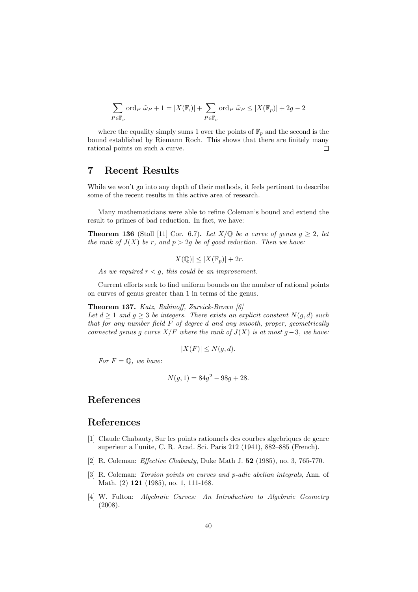$$
\sum_{P \in \overline{\mathbb{F}}_p} \text{ord}_P \ \tilde{\omega}_P + 1 = |X(\mathbb{F}_\cdot)| + \sum_{P \in \overline{\mathbb{F}}_p} \text{ord}_P \ \tilde{\omega}_P \le |X(\mathbb{F}_p)| + 2g - 2
$$

where the equality simply sums 1 over the points of  $\mathbb{F}_p$  and the second is the bound established by Riemann Roch. This shows that there are finitely many  $\Box$ rational points on such a curve.

## 7 Recent Results

While we won't go into any depth of their methods, it feels pertinent to describe some of the recent results in this active area of research.

Many mathematicians were able to refine Coleman's bound and extend the result to primes of bad reduction. In fact, we have:

**Theorem 136** (Stoll [11] Cor. 6.7). Let  $X/\mathbb{Q}$  be a curve of genus  $g \geq 2$ , let the rank of  $J(X)$  be r, and  $p > 2q$  be of good reduction. Then we have:

 $|X(\mathbb{Q})| \leq |X(\mathbb{F}_p)| + 2r.$ 

As we required  $r < g$ , this could be an improvement.

Current efforts seek to find uniform bounds on the number of rational points on curves of genus greater than 1 in terms of the genus.

#### Theorem 137. Katz, Rabinoff, Zureick-Brown [6]

Let  $d > 1$  and  $q > 3$  be integers. There exists an explicit constant  $N(q, d)$  such that for any number field  $F$  of degree d and any smooth, proper, geometrically connected genus q curve  $X/F$  where the rank of  $J(X)$  is at most q – 3, we have:

$$
|X(F)| \le N(g, d).
$$

For  $F = \mathbb{Q}$ , we have:

$$
N(g, 1) = 84g^2 - 98g + 28.
$$

# References

### References

- [1] Claude Chabauty, Sur les points rationnels des courbes algebriques de genre superieur a l'unite, C. R. Acad. Sci. Paris 212 (1941), 882–885 (French).
- [2] R. Coleman: Effective Chabauty, Duke Math J. 52 (1985), no. 3, 765-770.
- [3] R. Coleman: Torsion points on curves and p-adic abelian integrals, Ann. of Math. (2) **121** (1985), no. 1, 111-168.
- [4] W. Fulton: Algebraic Curves: An Introduction to Algebraic Geometry (2008).